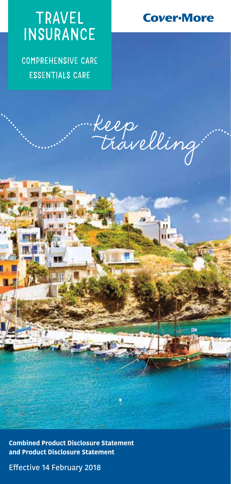# TRAVEL **INSURANCE**

COMPREHENSIVE CARE ESSENTIALS CARE



Keep<br>Travelling

**Combined Product Disclosure Statement and Product Disclosure Statement**

Effective 14 February 2018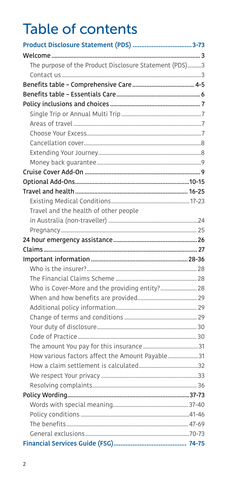# **Table of contents**

| The purpose of the Product Disclosure Statement (PDS)3 |  |
|--------------------------------------------------------|--|
|                                                        |  |
|                                                        |  |
|                                                        |  |
|                                                        |  |
|                                                        |  |
|                                                        |  |
|                                                        |  |
|                                                        |  |
|                                                        |  |
|                                                        |  |
|                                                        |  |
|                                                        |  |
|                                                        |  |
|                                                        |  |
| Travel and the health of other people                  |  |
|                                                        |  |
|                                                        |  |
|                                                        |  |
|                                                        |  |
|                                                        |  |
|                                                        |  |
|                                                        |  |
|                                                        |  |
| Who is Cover-More and the providing entity? 28         |  |
|                                                        |  |
|                                                        |  |
|                                                        |  |
|                                                        |  |
|                                                        |  |
|                                                        |  |
| How various factors affect the Amount Payable31        |  |
|                                                        |  |
|                                                        |  |
|                                                        |  |
|                                                        |  |
|                                                        |  |
|                                                        |  |
|                                                        |  |
|                                                        |  |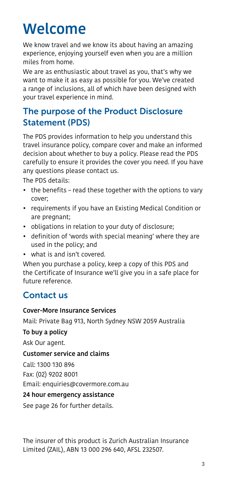# <span id="page-2-0"></span>**Welcome**

We know travel and we know its about having an amazing experience, enjoying yourself even when you are a million miles from home.

We are as enthusiastic about travel as you, that's why we want to make it as easy as possible for you. We've created a range of inclusions, all of which have been designed with your travel experience in mind.

# <span id="page-2-1"></span>The purpose of the Product Disclosure Statement (PDS)

The PDS provides information to help you understand this travel insurance policy, compare cover and make an informed decision about whether to buy a policy. Please read the PDS carefully to ensure it provides the cover you need. If you have any questions please contact us.

The PDS details:

- the benefits read these together with the options to vary cover;
- requirements if you have an Existing Medical Condition or are pregnant;
- obligations in relation to your duty of disclosure;
- definition of 'words with special meaning' where they are used in the policy; and
- what is and isn't covered.

When you purchase a policy, keep a copy of this PDS and the Certificate of Insurance we'll give you in a safe place for future reference.

# <span id="page-2-2"></span>Contact us

#### Cover-More Insurance Services

Mail: Private Bag 913, North Sydney NSW 2059 Australia

#### To buy a policy

Ask Our agent.

#### Customer service and claims

Call: 1300 130 896

Fax: (02) 9202 8001

Email: enquiries@covermore.com.au

#### 24 hour emergency assistance

See page [26](#page-25-0) for further details.

The insurer of this product is Zurich Australian Insurance Limited (ZAIL), ABN 13 000 296 640, AFSL 232507.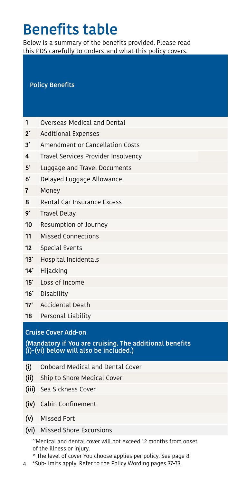# Benefits table

Below is a summary of the benefits provided. Please read this PDS carefully to understand what this policy covers.

#### Policy Benefits

- 1 Overseas Medical and Dental
- 2\* Additional Expenses
- 3\* Amendment or Cancellation Costs
- 4 Travel Services Provider Insolvency
- 5\* Luggage and Travel Documents
- 6\* Delayed Luggage Allowance
- $7$  Money  $350$   $350$   $350$   $350$   $350$   $350$   $350$   $350$   $350$   $350$
- 8 Rental Car Insurance Excess
- $9^{\circ}$  Travel Delay  $32.00$   $37.00$   $37.00$   $37.00$
- 10 Resumption of Journey
- 11 Missed Connections
- **12** Special Events  $\overline{2}$
- 13<sup>\*</sup> Hospital Incidentals
- **14\*** Hijacking \$8,000 \$Nilaya \$8,000 \$Nilaya \$8,000 \$Nilaya \$8,000 \$Nilaya \$8,000 \$Nilaya \$8,000 \$Nilaya \$8,000 \$Ni
- 15<sup>\*</sup> Loss of Income
- $16^*$  Disability  $16^*$  Disability
- 17\* Accidental Death
- 18 Personal Liability

#### Cruise Cover Add-on

(Mandatory if You are cruising. The additional benefits (i)-(vi) below will also be included.)

- (i) Onboard Medical and Dental Cover
- (ii) Ship to Shore Medical Cover
- (iii) Sea Sickness Cover
- (iv) Cabin Confinement
- (v) Missed Port
- (vi) Missed Shore Excursions

~Medical and dental cover will not exceed 12 months from onset of the illness or injury.

^ The level of cover You choose applies per policy. See page [8](#page-7-0).

4 \*Sub-limits apply. Refer to the Policy Wording pages [37](#page-36-0)-[73](#page-72-1).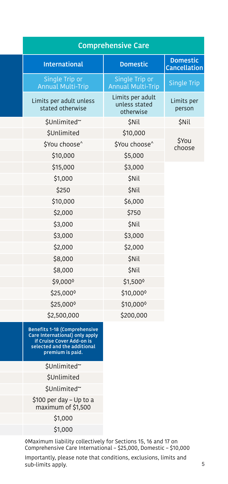| <b>Comprehensive Care</b>                                             |                                                |                                 |
|-----------------------------------------------------------------------|------------------------------------------------|---------------------------------|
| <b>International</b>                                                  | <b>Domestic</b>                                | <b>Domestic</b><br>Cancellation |
| Single Trip or<br>Annual Multi-Trip                                   | Single Trip or<br><b>Annual Multi-Trip</b>     | Single Trip                     |
| Limits per adult unless<br>stated otherwise                           | Limits per adult<br>unless stated<br>otherwise | Limits per<br>person            |
| \$Unlimited~                                                          | \$Nil                                          | \$Nil                           |
| \$Unlimited                                                           | \$10,000                                       |                                 |
| \$You choose^                                                         | \$You choose^                                  | \$You<br>choose                 |
| \$10,000                                                              | \$5,000                                        |                                 |
| \$15,000                                                              | \$3,000                                        |                                 |
| \$1,000                                                               | <b>\$Nil</b>                                   |                                 |
| \$250                                                                 | \$Nil                                          |                                 |
| \$10,000                                                              | \$6,000                                        |                                 |
| \$2,000                                                               | \$750                                          |                                 |
| \$3,000                                                               | \$Nil                                          |                                 |
| \$3,000                                                               | \$3,000                                        |                                 |
| \$2,000                                                               | \$2,000                                        |                                 |
| \$8,000                                                               | <b>\$Nil</b>                                   |                                 |
| \$8,000                                                               | \$Nil                                          |                                 |
| \$9,000                                                               | \$1,500                                        |                                 |
| \$25,000                                                              | \$10,000                                       |                                 |
| \$25,000                                                              | \$10,000                                       |                                 |
| \$2,500,000                                                           | \$200,000                                      |                                 |
| <b>Benefits 1-18 (Comprehensive</b><br>Care International) only apply |                                                |                                 |

if Cruise Cover Add-on is selected and the additional premium is paid.

\$Unlimited~

(ii) Ship to Shore Medical Cover \$Unlimited

\$Unlimited~

\$100 per day – Up to a maximum of \$1,500

 $(51,000)$ 

 $\mathsf{S1,000}$ 

�Maximum liability collectively for Sections 15, 16 and 17 on Comprehensive Care International – \$25,000, Domestic – \$10,000

Importantly, please note that conditions, exclusions, limits and sub-limits apply.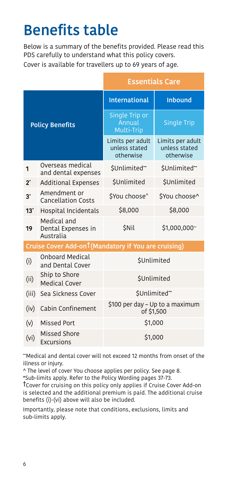# <span id="page-5-0"></span>Benefits table

Below is a summary of the benefits provided. Please read this PDS carefully to understand what this policy covers. Cover is available for travellers up to 69 years of age.

|                                                      |                                                | <b>Essentials Care</b>                         |                                                |  |
|------------------------------------------------------|------------------------------------------------|------------------------------------------------|------------------------------------------------|--|
|                                                      |                                                | <b>International</b>                           | <b>Inbound</b>                                 |  |
| <b>Policy Benefits</b>                               |                                                | Single Trip or<br>Annual<br>Multi-Trip         | <b>Single Trip</b>                             |  |
|                                                      |                                                | Limits per adult<br>unless stated<br>otherwise | Limits per adult<br>unless stated<br>otherwise |  |
| 1                                                    | Overseas medical<br>and dental expenses        | \$Unlimited~                                   | \$Unlimited~                                   |  |
| $2^*$                                                | <b>Additional Expenses</b>                     | <b>SUnlimited</b>                              | <b>SUnlimited</b>                              |  |
| $3^*$                                                | Amendment or<br><b>Cancellation Costs</b>      | SYou choose <sup>^</sup>                       | \$You choose^                                  |  |
| $13^*$                                               | Hospital Incidentals                           | \$8,000                                        | \$8,000                                        |  |
| 19                                                   | Medical and<br>Dental Expenses in<br>Australia | <b>SNil</b>                                    | $$1,000,000$ ~                                 |  |
| Cruise Cover Add-ont (Mandatory if You are cruising) |                                                |                                                |                                                |  |
| (i)                                                  | <b>Onboard Medical</b><br>and Dental Cover     | <b>SUnlimited</b>                              |                                                |  |
| (ii)                                                 | Ship to Shore<br>Medical Cover                 | <b>\$Unlimited</b>                             |                                                |  |
| (iii)                                                | Sea Sickness Cover                             | \$Unlimited~                                   |                                                |  |
| (iv)                                                 | Cabin Confinement                              | \$100 per day - Up to a maximum<br>of \$1,500  |                                                |  |
| (v)                                                  | <b>Missed Port</b>                             | \$1,000                                        |                                                |  |
| (vi)                                                 | Missed Shore<br>Excursions                     | \$1,000                                        |                                                |  |

~Medical and dental cover will not exceed 12 months from onset of the illness or injury.

^ The level of cover You choose applies per policy. See page [8](#page-7-0).

\*Sub-limits apply. Refer to the Policy Wording pages [37](#page-36-0)-[73.](#page-72-0)

†Cover for cruising on this policy only applies if Cruise Cover Add-on is selected and the additional premium is paid. The additional cruise benefits (i)-(vi) above will also be included.

Importantly, please note that conditions, exclusions, limits and sub-limits apply.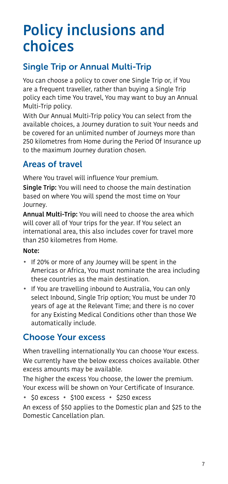# <span id="page-6-0"></span>Policy inclusions and choices

# <span id="page-6-1"></span>Single Trip or Annual Multi-Trip

You can choose a policy to cover one Single Trip or, if You are a frequent traveller, rather than buying a Single Trip policy each time You travel, You may want to buy an Annual Multi-Trip policy.

With Our Annual Multi-Trip policy You can select from the available choices, a Journey duration to suit Your needs and be covered for an unlimited number of Journeys more than 250 kilometres from Home during the Period Of Insurance up to the maximum Journey duration chosen.

# <span id="page-6-2"></span>Areas of travel

Where You travel will influence Your premium.

**Single Trip:** You will need to choose the main destination based on where You will spend the most time on Your Journey.

Annual Multi-Trip: You will need to choose the area which will cover all of Your trips for the year. If You select an international area, this also includes cover for travel more than 250 kilometres from Home.

#### Note:

- If 20% or more of any Journey will be spent in the Americas or Africa, You must nominate the area including these countries as the main destination.
- If You are travelling inbound to Australia, You can only select Inbound, Single Trip option; You must be under 70 years of age at the Relevant Time; and there is no cover for any Existing Medical Conditions other than those We automatically include.

# <span id="page-6-3"></span>Choose Your excess

When travelling internationally You can choose Your excess. We currently have the below excess choices available. Other excess amounts may be available.

The higher the excess You choose, the lower the premium. Your excess will be shown on Your Certificate of Insurance.

• \$0 excess • \$100 excess • \$250 excess

An excess of \$50 applies to the Domestic plan and \$25 to the Domestic Cancellation plan.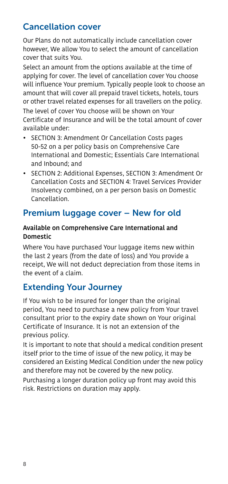# <span id="page-7-0"></span>Cancellation cover

Our Plans do not automatically include cancellation cover however, We allow You to select the amount of cancellation cover that suits You.

Select an amount from the options available at the time of applying for cover. The level of cancellation cover You choose will influence Your premium. Typically people look to choose an amount that will cover all prepaid travel tickets, hotels, tours or other travel related expenses for all travellers on the policy. The level of cover You choose will be shown on Your Certificate of Insurance and will be the total amount of cover available under:

- [SECTION 3: Amendment Or Cancellation Costs](#page-49-0) pages [50](#page-49-0)-[52](#page-51-0) on a per policy basis on Comprehensive Care International and Domestic; Essentials Care International and Inbound; and
- [SECTION 2: Additional Expenses](#page-47-0), [SECTION 3: Amendment Or](#page-49-0)  [Cancellation Costs](#page-49-0) and [SECTION 4: Travel Services Provider](#page-51-1)  [Insolvency](#page-51-1) combined, on a per person basis on Domestic Cancellation.

# Premium luggage cover – New for old

#### Available on Comprehensive Care International and Domestic

Where You have purchased Your luggage items new within the last 2 years (from the date of loss) and You provide a receipt, We will not deduct depreciation from those items in the event of a claim.

# <span id="page-7-1"></span>Extending Your Journey

If You wish to be insured for longer than the original period, You need to purchase a new policy from Your travel consultant prior to the expiry date shown on Your original Certificate of Insurance. It is not an extension of the previous policy.

It is important to note that should a medical condition present itself prior to the time of issue of the new policy, it may be considered an Existing Medical Condition under the new policy and therefore may not be covered by the new policy.

Purchasing a longer duration policy up front may avoid this risk. Restrictions on duration may apply.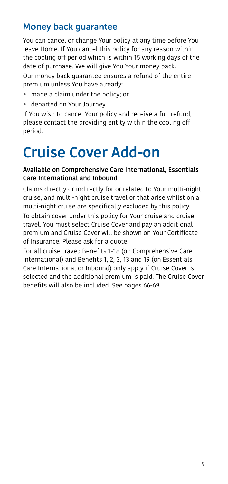# <span id="page-8-0"></span>Money back guarantee

You can cancel or change Your policy at any time before You leave Home. If You cancel this policy for any reason within the cooling off period which is within 15 working days of the date of purchase, We will give You Your money back.

Our money back guarantee ensures a refund of the entire premium unless You have already:

- made a claim under the policy; or
- departed on Your Journey.

If You wish to cancel Your policy and receive a full refund, please contact the providing entity within the cooling off period.

# <span id="page-8-1"></span>Cruise Cover Add-on

#### Available on Comprehensive Care International, Essentials Care International and Inbound

Claims directly or indirectly for or related to Your multi-night cruise, and multi-night cruise travel or that arise whilst on a multi-night cruise are specifically excluded by this policy.

To obtain cover under this policy for Your cruise and cruise travel, You must select Cruise Cover and pay an additional premium and Cruise Cover will be shown on Your Certificate of Insurance. Please ask for a quote.

For all cruise travel: Benefits 1-18 (on Comprehensive Care International) and Benefits 1, 2, 3, 13 and 19 (on Essentials Care International or Inbound) only apply if Cruise Cover is selected and the additional premium is paid. The Cruise Cover benefits will also be included. See pages [66](#page-65-0)-[69](#page-68-0).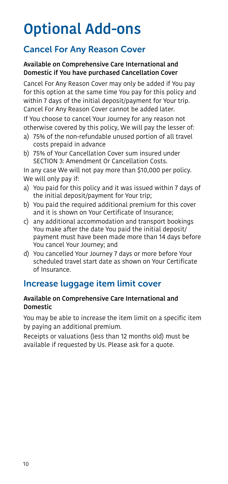# <span id="page-9-0"></span>Optional Add-ons

# Cancel For Any Reason Cover

#### Available on Comprehensive Care International and Domestic if You have purchased Cancellation Cover

Cancel For Any Reason Cover may only be added if You pay for this option at the same time You pay for this policy and within 7 days of the initial deposit/payment for Your trip. Cancel For Any Reason Cover cannot be added later.

If You choose to cancel Your Journey for any reason not otherwise covered by this policy, We will pay the lesser of:

- a) 75% of the non-refundable unused portion of all travel costs prepaid in advance
- b) 75% of Your Cancellation Cover sum insured under [SECTION 3: Amendment Or Cancellation Costs.](#page-49-0)

In any case We will not pay more than \$10,000 per policy. We will only pay if:

- a) You paid for this policy and it was issued within 7 days of the initial deposit/payment for Your trip;
- b) You paid the required additional premium for this cover and it is shown on Your Certificate of Insurance;
- c) any additional accommodation and transport bookings You make after the date You paid the initial deposit/ payment must have been made more than 14 days before You cancel Your Journey; and
- d) You cancelled Your Journey 7 days or more before Your scheduled travel start date as shown on Your Certificate of Insurance.

# Increase luggage item limit cover

#### Available on Comprehensive Care International and Domestic

You may be able to increase the item limit on a specific item by paying an additional premium.

Receipts or valuations (less than 12 months old) must be available if requested by Us. Please ask for a quote.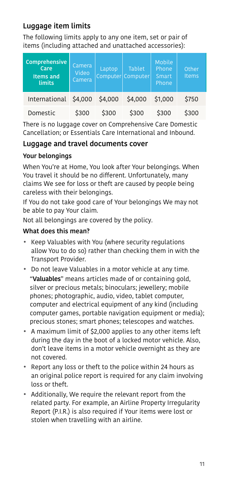### Luggage item limits

The following limits apply to any one item, set or pair of items (including attached and unattached accessories):

| Comprehensive<br>Care<br><b>Items and</b><br>limits | Camera<br>Video<br>Camera | Laptop  | <b>Tablet</b><br>Computer Computer | Mobile<br>Phone<br>Smart<br>Phone | Other<br>Items |
|-----------------------------------------------------|---------------------------|---------|------------------------------------|-----------------------------------|----------------|
| International                                       | \$4,000                   | \$4,000 | \$4,000                            | \$1,000                           | \$750          |
| Domestic                                            | \$300                     | \$300   | \$300                              | \$300                             | \$300          |

There is no luggage cover on Comprehensive Care Domestic Cancellation; or Essentials Care International and Inbound.

#### Luggage and travel documents cover

#### Your belongings

When You're at Home, You look after Your belongings. When You travel it should be no different. Unfortunately, many claims We see for loss or theft are caused by people being careless with their belongings.

If You do not take good care of Your belongings We may not be able to pay Your claim.

Not all belongings are covered by the policy.

#### What does this mean?

- Keep Valuables with You (where security regulations allow You to do so) rather than checking them in with the Transport Provider.
- Do not leave Valuables in a motor vehicle at any time. "Valuables" means articles made of or containing gold, silver or precious metals; binoculars; jewellery; mobile phones; photographic, audio, video, tablet computer, computer and electrical equipment of any kind (including computer games, portable navigation equipment or media); precious stones; smart phones; telescopes and watches.
- A maximum limit of \$2,000 applies to any other items left during the day in the boot of a locked motor vehicle. Also, don't leave items in a motor vehicle overnight as they are not covered.
- Report any loss or theft to the police within 24 hours as an original police report is required for any claim involving loss or theft.
- Additionally, We require the relevant report from the related party. For example, an Airline Property Irregularity Report (P.I.R.) is also required if Your items were lost or stolen when travelling with an airline.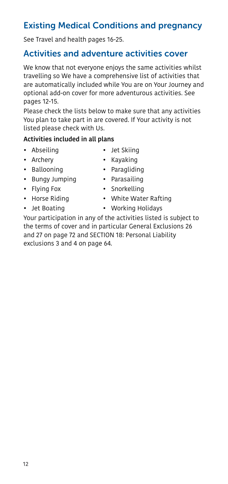• Bungy Jumping • Parasailing • Flying Fox • Snorkelling • Horse Riding • White Water Rafting

- 
- Jet Boating Working Holidays

<span id="page-11-0"></span>Your participation in any of the activities listed is subject to the terms of cover and in particular General Exclusions 26 and 27 on page [72](#page-71-0) and [SECTION 18: Personal Liability](#page-63-0) exclusions 3 and 4 on page [64.](#page-63-0)

#### listed please check with Us. Activities included in all plans

pages [12](#page-11-0)-[15](#page-14-0).

- Abseiling Jet Skiing
- 
- 
- 
- 
- 
- 
- 
- 
- 
- 
- 
- 

travelling so We have a comprehensive list of activities that are automatically included while You are on Your Journey and

We know that not everyone enjoys the same activities whilst

optional add-on cover for more adventurous activities. See

Please check the lists below to make sure that any activities You plan to take part in are covered. If Your activity is not

# Existing Medical Conditions and pregnancy

See Travel and health pages [16-](#page-15-0)[25.](#page-24-0)

# Activities and adventure activities cover

- 
- 
- Archery Kayaking • Ballooning • Paragliding
	-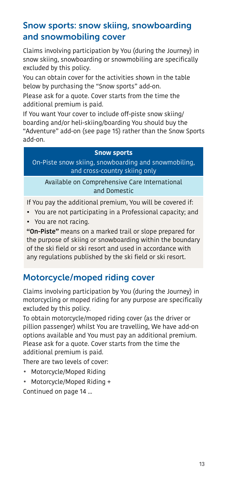# <span id="page-12-0"></span>Snow sports: snow skiing, snowboarding and snowmobiling cover

Claims involving participation by You (during the Journey) in snow skiing, snowboarding or snowmobiling are specifically excluded by this policy.

You can obtain cover for the activities shown in the table below by purchasing the "Snow sports" add-on.

Please ask for a quote. Cover starts from the time the additional premium is paid.

If You want Your cover to include off-piste snow skiing/ boarding and/or heli-skiing/boarding You should buy the "Adventure" add-on (see page 15) rather than the Snow Sports add-on.

#### **Snow sports**

On-Piste snow skiing, snowboarding and snowmobiling, and cross-country skiing only

Available on Comprehensive Care International and Domestic

If You pay the additional premium, You will be covered if:

• You are not participating in a Professional capacity; and • You are not racing.

"On-Piste" means on a marked trail or slope prepared for the purpose of skiing or snowboarding within the boundary of the ski field or ski resort and used in accordance with any regulations published by the ski field or ski resort.

# Motorcycle/moped riding cover

Claims involving participation by You (during the Journey) in motorcycling or moped riding for any purpose are specifically excluded by this policy.

To obtain motorcycle/moped riding cover (as the driver or pillion passenger) whilst You are travelling, We have add-on options available and You must pay an additional premium. Please ask for a quote. Cover starts from the time the additional premium is paid.

There are two levels of cover:

• Motorcycle/Moped Riding

• Motorcycle/Moped Riding +

Continued on page 14 ...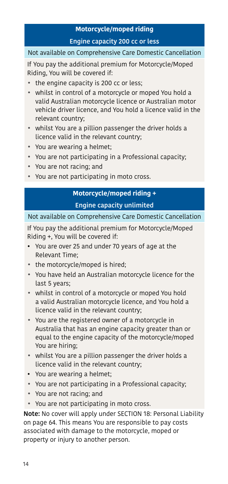### **Motorcycle/moped riding** Engine capacity 200 cc or less

#### Not available on Comprehensive Care Domestic Cancellation

If You pay the additional premium for Motorcycle/Moped Riding, You will be covered if:

- the engine capacity is 200 cc or less;
- whilst in control of a motorcycle or moped You hold a valid Australian motorcycle licence or Australian motor vehicle driver licence, and You hold a licence valid in the relevant country;
- whilst You are a pillion passenger the driver holds a licence valid in the relevant country;
- You are wearing a helmet;
- You are not participating in a Professional capacity;
- You are not racing; and
- You are not participating in moto cross.

#### **Motorcycle/moped riding +** Engine capacity unlimited

Not available on Comprehensive Care Domestic Cancellation

If You pay the additional premium for Motorcycle/Moped Riding +, You will be covered if:

- You are over 25 and under 70 years of age at the Relevant Time;
- the motorcycle/moped is hired;
- You have held an Australian motorcycle licence for the last 5 years;
- whilst in control of a motorcycle or moped You hold a valid Australian motorcycle licence, and You hold a licence valid in the relevant country;
- You are the registered owner of a motorcycle in Australia that has an engine capacity greater than or equal to the engine capacity of the motorcycle/moped You are hiring;
- whilst You are a pillion passenger the driver holds a licence valid in the relevant country;
- You are wearing a helmet;
- You are not participating in a Professional capacity;
- You are not racing; and
- You are not participating in moto cross.

Note: No cover will apply under [SECTION 18: Personal Liability](#page-63-0) on page [64](#page-63-0). This means You are responsible to pay costs associated with damage to the motorcycle, moped or property or injury to another person.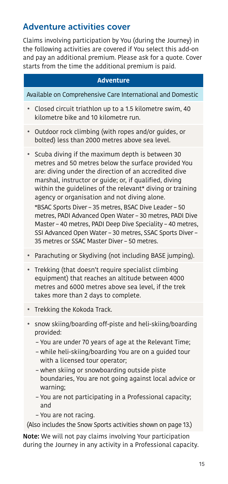### Adventure activities cover

Claims involving participation by You (during the Journey) in the following activities are covered if You select this add-on and pay an additional premium. Please ask for a quote. Cover starts from the time the additional premium is paid.

#### **Adventure**

Available on Comprehensive Care International and Domestic

- Closed circuit triathlon up to a 1.5 kilometre swim, 40 kilometre bike and 10 kilometre run.
- Outdoor rock climbing (with ropes and/or guides, or bolted) less than 2000 metres above sea level.
- Scuba diving if the maximum depth is between 30 metres and 50 metres below the surface provided You are: diving under the direction of an accredited dive marshal, instructor or guide; or, if qualified, diving within the quidelines of the relevant\* diving or training agency or organisation and not diving alone.

\*BSAC Sports Diver – 35 metres, BSAC Dive Leader – 50 metres, PADI Advanced Open Water – 30 metres, PADI Dive Master – 40 metres, PADI Deep Dive Speciality – 40 metres, SSI Advanced Open Water – 30 metres, SSAC Sports Diver – 35 metres or SSAC Master Diver – 50 metres.

- Parachuting or Skydiving (not including BASE jumping).
- Trekking (that doesn't require specialist climbing equipment) that reaches an altitude between 4000 metres and 6000 metres above sea level, if the trek takes more than 2 days to complete.
- Trekking the Kokoda Track.
- snow skiing/boarding off-piste and heli-skiing/boarding provided:
	- You are under 70 years of age at the Relevant Time;
	- while heli-skiing/boarding You are on a guided tour with a licensed tour operator;
	- when skiing or snowboarding outside piste boundaries, You are not going against local advice or warning;
	- You are not participating in a Professional capacity; and
	- You are not racing.

(Also includes the Snow Sports activities shown on page [13.](#page-12-0))

<span id="page-14-0"></span>Note: We will not pay claims involving Your participation during the Journey in any activity in a Professional capacity.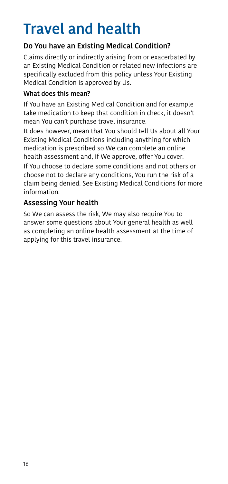# <span id="page-15-0"></span>Travel and health

#### Do You have an Existing Medical Condition?

Claims directly or indirectly arising from or exacerbated by an Existing Medical Condition or related new infections are specifically excluded from this policy unless Your Existing Medical Condition is approved by Us.

#### What does this mean?

If You have an Existing Medical Condition and for example take medication to keep that condition in check, it doesn't mean You can't purchase travel insurance.

It does however, mean that You should tell Us about all Your Existing Medical Conditions including anything for which medication is prescribed so We can complete an online health assessment and, if We approve, offer You cover.

If You choose to declare some conditions and not others or choose not to declare any conditions, You run the risk of a claim being denied. See Existing Medical Conditions for more information.

#### Assessing Your health

So We can assess the risk, We may also require You to answer some questions about Your general health as well as completing an online health assessment at the time of applying for this travel insurance.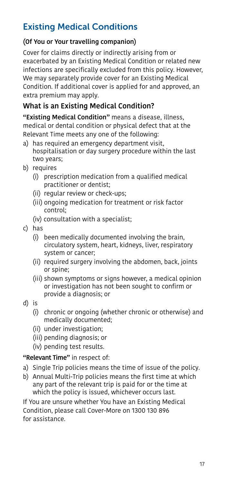# <span id="page-16-0"></span>Existing Medical Conditions

#### (Of You or Your travelling companion)

Cover for claims directly or indirectly arising from or exacerbated by an Existing Medical Condition or related new infections are specifically excluded from this policy. However, We may separately provide cover for an Existing Medical Condition. If additional cover is applied for and approved, an extra premium may apply.

### What is an Existing Medical Condition?

"Existing Medical Condition" means a disease, illness, medical or dental condition or physical defect that at the Relevant Time meets any one of the following:

- a) has required an emergency department visit, hospitalisation or day surgery procedure within the last two years;
- b) requires
	- (i) prescription medication from a qualified medical practitioner or dentist;
	- (ii) regular review or check-ups;
	- (iii) ongoing medication for treatment or risk factor control;
	- (iv) consultation with a specialist;
- c) has
	- (i) been medically documented involving the brain, circulatory system, heart, kidneys, liver, respiratory system or cancer;
	- (ii) required surgery involving the abdomen, back, joints or spine;
	- (iii) shown symptoms or signs however, a medical opinion or investigation has not been sought to confirm or provide a diagnosis; or
- d) is
	- (i) chronic or ongoing (whether chronic or otherwise) and medically documented;
	- (ii) under investigation;
	- (iii) pending diagnosis; or
	- (iv) pending test results.

"Relevant Time" in respect of:

- a) Single Trip policies means the time of issue of the policy.
- b) Annual Multi-Trip policies means the first time at which any part of the relevant trip is paid for or the time at which the policy is issued, whichever occurs last.

If You are unsure whether You have an Existing Medical Condition, please call Cover-More on 1300 130 896 for assistance.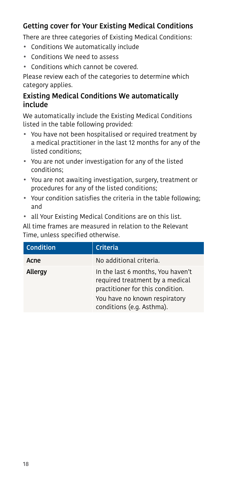### Getting cover for Your Existing Medical Conditions

There are three categories of Existing Medical Conditions:

- Conditions We automatically include
- Conditions We need to assess
- Conditions which cannot be covered.

Please review each of the categories to determine which category applies.

#### Existing Medical Conditions We automatically include

We automatically include the Existing Medical Conditions listed in the table following provided:

- You have not been hospitalised or required treatment by a medical practitioner in the last 12 months for any of the listed conditions;
- You are not under investigation for any of the listed conditions;
- You are not awaiting investigation, surgery, treatment or procedures for any of the listed conditions;
- Your condition satisfies the criteria in the table following; and
- all Your Existing Medical Conditions are on this list.

All time frames are measured in relation to the Relevant Time, unless specified otherwise.

| <b>Condition</b> | Criteria                                                                                                                                                               |
|------------------|------------------------------------------------------------------------------------------------------------------------------------------------------------------------|
| Acne             | No additional criteria.                                                                                                                                                |
| Allergy          | In the last 6 months, You haven't<br>required treatment by a medical<br>practitioner for this condition.<br>You have no known respiratory<br>conditions (e.g. Asthma). |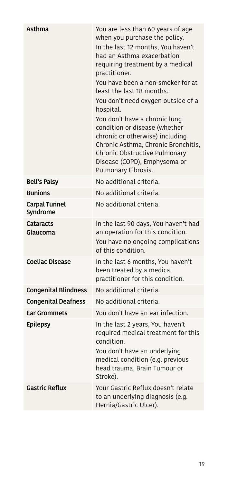| Asthma                      | You are less than 60 years of age<br>when you purchase the policy.<br>In the last 12 months, You haven't<br>had an Asthma exacerbation<br>requiring treatment by a medical<br>practitioner.<br>You have been a non-smoker for at<br>least the last 18 months.<br>You don't need oxygen outside of a<br>hospital.<br>You don't have a chronic lung<br>condition or disease (whether<br>chronic or otherwise) including<br>Chronic Asthma, Chronic Bronchitis,<br>Chronic Obstructive Pulmonary<br>Disease (COPD), Emphysema or<br>Pulmonary Fibrosis. |
|-----------------------------|------------------------------------------------------------------------------------------------------------------------------------------------------------------------------------------------------------------------------------------------------------------------------------------------------------------------------------------------------------------------------------------------------------------------------------------------------------------------------------------------------------------------------------------------------|
| Bell's Palsy                | No additional criteria.                                                                                                                                                                                                                                                                                                                                                                                                                                                                                                                              |
| <b>Bunions</b>              | No additional criteria.                                                                                                                                                                                                                                                                                                                                                                                                                                                                                                                              |
| Carpal Tunnel<br>Syndrome   | No additional criteria.                                                                                                                                                                                                                                                                                                                                                                                                                                                                                                                              |
| Cataracts<br>Glaucoma       | In the last 90 days, You haven't had<br>an operation for this condition.<br>You have no ongoing complications<br>of this condition.                                                                                                                                                                                                                                                                                                                                                                                                                  |
| <b>Coeliac Disease</b>      | In the last 6 months, You haven't<br>been treated by a medical<br>practitioner for this condition.                                                                                                                                                                                                                                                                                                                                                                                                                                                   |
| <b>Congenital Blindness</b> | No additional criteria.                                                                                                                                                                                                                                                                                                                                                                                                                                                                                                                              |
| <b>Congenital Deafness</b>  | No additional criteria.                                                                                                                                                                                                                                                                                                                                                                                                                                                                                                                              |
| <b>Ear Grommets</b>         | You don't have an ear infection.                                                                                                                                                                                                                                                                                                                                                                                                                                                                                                                     |
| <b>Epilepsy</b>             | In the last 2 years, You haven't<br>required medical treatment for this<br>condition.<br>You don't have an underlying<br>medical condition (e.g. previous<br>head trauma, Brain Tumour or<br>Stroke).                                                                                                                                                                                                                                                                                                                                                |
| <b>Gastric Reflux</b>       | Your Gastric Reflux doesn't relate<br>to an underlying diagnosis (e.g.<br>Hernia/Gastric Ulcer).                                                                                                                                                                                                                                                                                                                                                                                                                                                     |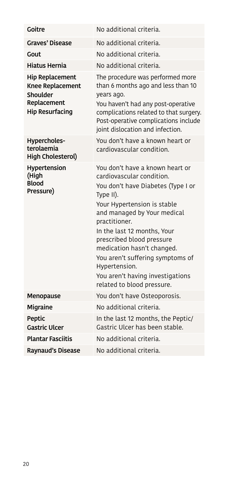| Goitre                                                                                                 | No additional criteria.                                                                                                                                                                                                                                                                                                                                                                                         |
|--------------------------------------------------------------------------------------------------------|-----------------------------------------------------------------------------------------------------------------------------------------------------------------------------------------------------------------------------------------------------------------------------------------------------------------------------------------------------------------------------------------------------------------|
| <b>Graves' Disease</b>                                                                                 | No additional criteria.                                                                                                                                                                                                                                                                                                                                                                                         |
| Gout                                                                                                   | No additional criteria.                                                                                                                                                                                                                                                                                                                                                                                         |
| Hiatus Hernia                                                                                          | No additional criteria.                                                                                                                                                                                                                                                                                                                                                                                         |
| <b>Hip Replacement</b><br><b>Knee Replacement</b><br>Shoulder<br>Replacement<br><b>Hip Resurfacing</b> | The procedure was performed more<br>than 6 months ago and less than 10<br>years ago.<br>You haven't had any post-operative<br>complications related to that surgery.<br>Post-operative complications include<br>joint dislocation and infection.                                                                                                                                                                |
| Hypercholes-<br>terolaemia<br><b>High Cholesterol)</b>                                                 | You don't have a known heart or<br>cardiovascular condition.                                                                                                                                                                                                                                                                                                                                                    |
| Hypertension<br>(High<br><b>Blood</b><br>Pressure)                                                     | You don't have a known heart or<br>cardiovascular condition.<br>You don't have Diabetes (Type I or<br>Type II).<br>Your Hypertension is stable<br>and managed by Your medical<br>practitioner.<br>In the last 12 months, Your<br>prescribed blood pressure<br>medication hasn't changed.<br>You aren't suffering symptoms of<br>Hypertension.<br>You aren't having investigations<br>related to blood pressure. |
| Menopause                                                                                              | You don't have Osteoporosis.                                                                                                                                                                                                                                                                                                                                                                                    |
| Migraine                                                                                               | No additional criteria.                                                                                                                                                                                                                                                                                                                                                                                         |
| Peptic<br><b>Gastric Ulcer</b>                                                                         | In the last 12 months, the Peptic/<br>Gastric Ulcer has been stable.                                                                                                                                                                                                                                                                                                                                            |
| <b>Plantar Fasciitis</b>                                                                               | No additional criteria.                                                                                                                                                                                                                                                                                                                                                                                         |
| Raynaud's Disease                                                                                      | No additional criteria.                                                                                                                                                                                                                                                                                                                                                                                         |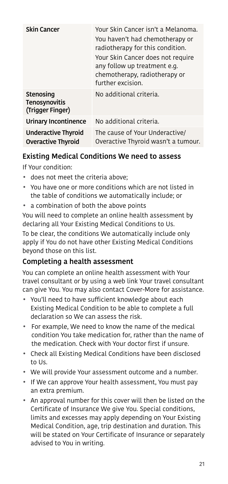| <b>Skin Cancer</b>                               | Your Skin Cancer isn't a Melanoma.<br>You haven't had chemotherapy or<br>radiotherapy for this condition.<br>Your Skin Cancer does not require<br>any follow up treatment e.g.<br>chemotherapy, radiotherapy or |
|--------------------------------------------------|-----------------------------------------------------------------------------------------------------------------------------------------------------------------------------------------------------------------|
|                                                  | further excision.                                                                                                                                                                                               |
| Stenosing<br>Tenosynovitis<br>(Trigger Finger)   | No additional criteria.                                                                                                                                                                                         |
| Urinary Incontinence                             | No additional criteria.                                                                                                                                                                                         |
| Underactive Thyroid<br><b>Overactive Thyroid</b> | The cause of Your Underactive/<br>Overactive Thyroid wasn't a tumour.                                                                                                                                           |

#### Existing Medical Conditions We need to assess

If Your condition:

- does not meet the criteria above;
- You have one or more conditions which are not listed in the table of conditions we automatically include; or
- a combination of both the above points

You will need to complete an online health assessment by declaring all Your Existing Medical Conditions to Us. To be clear, the conditions We automatically include only apply if You do not have other Existing Medical Conditions beyond those on this list.

### Completing a health assessment

You can complete an online health assessment with Your travel consultant or by using a web link Your travel consultant can give You. You may also contact Cover-More for assistance.

- You'll need to have sufficient knowledge about each Existing Medical Condition to be able to complete a full declaration so We can assess the risk.
- For example, We need to know the name of the medical condition You take medication for, rather than the name of the medication. Check with Your doctor first if unsure.
- Check all Existing Medical Conditions have been disclosed to Us.
- We will provide Your assessment outcome and a number.
- If We can approve Your health assessment, You must pay an extra premium.
- An approval number for this cover will then be listed on the Certificate of Insurance We give You. Special conditions, limits and excesses may apply depending on Your Existing Medical Condition, age, trip destination and duration. This will be stated on Your Certificate of Insurance or separately advised to You in writing.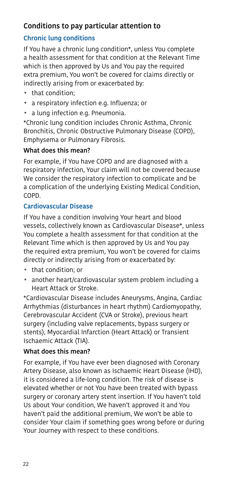#### Conditions to pay particular attention to

#### Chronic lung conditions

If You have a chronic lung condition\*, unless You complete a health assessment for that condition at the Relevant Time which is then approved by Us and You pay the required extra premium, You won't be covered for claims directly or indirectly arising from or exacerbated by:

- that condition;
- a respiratory infection e.g. Influenza; or
- a lung infection e.g. Pneumonia.

\*Chronic lung condition includes Chronic Asthma, Chronic Bronchitis, Chronic Obstructive Pulmonary Disease (COPD), Emphysema or Pulmonary Fibrosis.

#### What does this mean?

For example, if You have COPD and are diagnosed with a respiratory infection, Your claim will not be covered because We consider the respiratory infection to complicate and be a complication of the underlying Existing Medical Condition, COPD.

#### Cardiovascular Disease

If You have a condition involving Your heart and blood vessels, collectively known as Cardiovascular Disease\*, unless You complete a health assessment for that condition at the Relevant Time which is then approved by Us and You pay the required extra premium, You won't be covered for claims directly or indirectly arising from or exacerbated by:

- that condition; or
- another heart/cardiovascular system problem including a Heart Attack or Stroke.

\*Cardiovascular Disease includes Aneurysms, Angina, Cardiac Arrhythmias (disturbances in heart rhythm) Cardiomyopathy, Cerebrovascular Accident (CVA or Stroke), previous heart surgery (including valve replacements, bypass surgery or stents), Myocardial Infarction (Heart Attack) or Transient Ischaemic Attack (TIA).

#### What does this mean?

For example, if You have ever been diagnosed with Coronary Artery Disease, also known as Ischaemic Heart Disease (IHD), it is considered a life-long condition. The risk of disease is elevated whether or not You have been treated with bypass surgery or coronary artery stent insertion. If You haven't told Us about Your condition, We haven't approved it and You haven't paid the additional premium, We won't be able to consider Your claim if something goes wrong before or during Your Journey with respect to these conditions.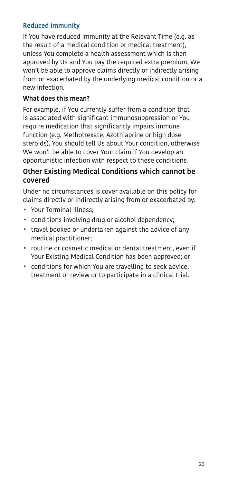#### Reduced immunity

If You have reduced immunity at the Relevant Time (e.g. as the result of a medical condition or medical treatment), unless You complete a health assessment which is then approved by Us and You pay the required extra premium, We won't be able to approve claims directly or indirectly arising from or exacerbated by the underlying medical condition or a new infection.

#### What does this mean?

For example, if You currently suffer from a condition that is associated with significant immunosuppression or You require medication that significantly impairs immune function (e.g. Methotrexate, Azothiaprine or high dose steroids), You should tell Us about Your condition, otherwise We won't be able to cover Your claim if You develop an opportunistic infection with respect to these conditions.

#### Other Existing Medical Conditions which cannot be covered

Under no circumstances is cover available on this policy for claims directly or indirectly arising from or exacerbated by:

- Your Terminal Illness;
- conditions involving drug or alcohol dependency;
- travel booked or undertaken against the advice of any medical practitioner;
- routine or cosmetic medical or dental treatment, even if Your Existing Medical Condition has been approved; or
- <span id="page-22-0"></span>• conditions for which You are travelling to seek advice, treatment or review or to participate in a clinical trial.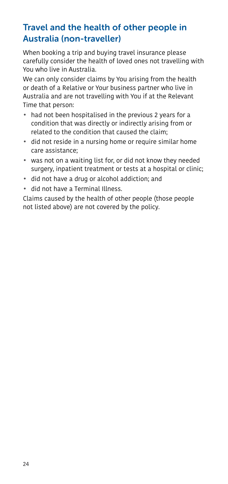# <span id="page-23-0"></span>Travel and the health of other people in Australia (non-traveller)

When booking a trip and buying travel insurance please carefully consider the health of loved ones not travelling with You who live in Australia.

We can only consider claims by You arising from the health or death of a Relative or Your business partner who live in Australia and are not travelling with You if at the Relevant Time that person:

- had not been hospitalised in the previous 2 years for a condition that was directly or indirectly arising from or related to the condition that caused the claim;
- did not reside in a nursing home or require similar home care assistance;
- was not on a waiting list for, or did not know they needed surgery, inpatient treatment or tests at a hospital or clinic;
- did not have a drug or alcohol addiction; and
- did not have a Terminal Illness.

Claims caused by the health of other people (those people not listed above) are not covered by the policy.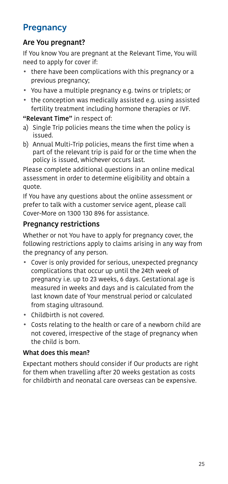# <span id="page-24-1"></span>**Pregnancy**

#### Are You pregnant?

If You know You are pregnant at the Relevant Time, You will need to apply for cover if:

- there have been complications with this pregnancy or a previous pregnancy;
- You have a multiple pregnancy e.g. twins or triplets; or
- the conception was medically assisted e.g. using assisted fertility treatment including hormone therapies or IVF.

#### "Relevant Time" in respect of:

- a) Single Trip policies means the time when the policy is issued.
- b) Annual Multi-Trip policies, means the first time when a part of the relevant trip is paid for or the time when the policy is issued, whichever occurs last.

Please complete additional questions in an online medical assessment in order to determine eligibility and obtain a quote.

If You have any questions about the online assessment or prefer to talk with a customer service agent, please call Cover-More on 1300 130 896 for assistance.

#### Pregnancy restrictions

Whether or not You have to apply for pregnancy cover, the following restrictions apply to claims arising in any way from the pregnancy of any person.

- Cover is only provided for serious, unexpected pregnancy complications that occur up until the 24th week of pregnancy i.e. up to 23 weeks, 6 days. Gestational age is measured in weeks and days and is calculated from the last known date of Your menstrual period or calculated from staging ultrasound.
- Childbirth is not covered.
- Costs relating to the health or care of a newborn child are not covered, irrespective of the stage of pregnancy when the child is born.

#### What does this mean?

<span id="page-24-0"></span>Expectant mothers should consider if Our products are right for them when travelling after 20 weeks gestation as costs for childbirth and neonatal care overseas can be expensive.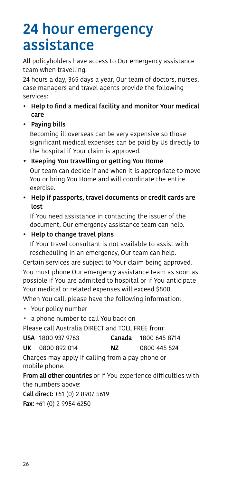# <span id="page-25-0"></span>24 hour emergency assistance

All policyholders have access to Our emergency assistance team when travelling.

24 hours a day, 365 days a year, Our team of doctors, nurses, case managers and travel agents provide the following services:

- Help to find a medical facility and monitor Your medical care
- Paying bills

Becoming ill overseas can be very expensive so those significant medical expenses can be paid by Us directly to the hospital if Your claim is approved.

- Keeping You travelling or getting You Home Our team can decide if and when it is appropriate to move You or bring You Home and will coordinate the entire exercise.
- Help if passports, travel documents or credit cards are lost

If You need assistance in contacting the issuer of the document, Our emergency assistance team can help.

• Help to change travel plans

If Your travel consultant is not available to assist with rescheduling in an emergency, Our team can help.

Certain services are subject to Your claim being approved. You must phone Our emergency assistance team as soon as possible if You are admitted to hospital or if You anticipate Your medical or related expenses will exceed \$500.

When You call, please have the following information:

- Your policy number
- a phone number to call You back on

Please call Australia DIRECT and TOLL FREE from:

USA 1800 937 9763 Canada 1800 645 8714

UK 0800 892 014 NZ 0800 445 524

Charges may apply if calling from a pay phone or mobile phone.

From all other countries or if You experience difficulties with the numbers above:

Call direct: +61 (0) 2 8907 5619 Fax: +61 (0) 2 9954 6250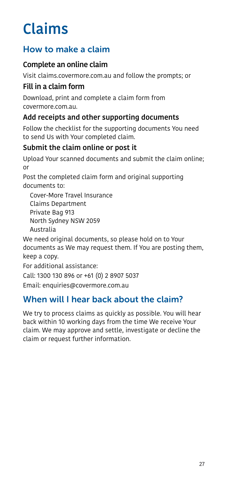# <span id="page-26-0"></span>Claims

# How to make a claim

# Complete an online claim

Visit [claims.covermore.com.au](https://claims.covermore.com.au/default) and follow the prompts; or

### Fill in a claim form

Download, print and complete a claim form from [covermore.com.au.](https://www.covermore.com.au/how-to-make-a-claim)

### Add receipts and other supporting documents

Follow the checklist for the supporting documents You need to send Us with Your completed claim.

### Submit the claim online or post it

Upload Your scanned documents and submit the claim online; or

Post the completed claim form and original supporting documents to:

Cover-More Travel Insurance Claims Department Private Bag 913 North Sydney NSW 2059 Australia

We need original documents, so please hold on to Your documents as We may request them. If You are posting them, keep a copy.

For additional assistance:

Call: 1300 130 896 or +61 (0) 2 8907 5037

Email: enquiries@covermore.com.au

# When will I hear back about the claim?

We try to process claims as quickly as possible. You will hear back within 10 working days from the time We receive Your claim. We may approve and settle, investigate or decline the claim or request further information.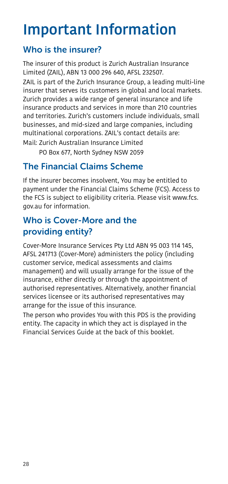# <span id="page-27-0"></span>Important Information

# <span id="page-27-1"></span>Who is the insurer?

The insurer of this product is Zurich Australian Insurance Limited (ZAIL), ABN 13 000 296 640, AFSL 232507.

ZAIL is part of the Zurich Insurance Group, a leading multi-line insurer that serves its customers in global and local markets. Zurich provides a wide range of general insurance and life insurance products and services in more than 210 countries and territories. Zurich's customers include individuals, small businesses, and mid-sized and large companies, including multinational corporations. ZAIL's contact details are: Mail: Zurich Australian Insurance Limited

PO Box 677, North Sydney NSW 2059

# <span id="page-27-2"></span>The Financial Claims Scheme

If the insurer becomes insolvent, You may be entitled to payment under the Financial Claims Scheme (FCS). Access to the FCS is subject to eligibility criteria. Please visit www.fcs. gov.au for information.

# <span id="page-27-3"></span>Who is Cover-More and the providing entity?

Cover-More Insurance Services Pty Ltd ABN 95 003 114 145, AFSL 241713 (Cover-More) administers the policy (including customer service, medical assessments and claims management) and will usually arrange for the issue of the insurance, either directly or through the appointment of authorised representatives. Alternatively, another financial services licensee or its authorised representatives may arrange for the issue of this insurance.

The person who provides You with this PDS is the providing entity. The capacity in which they act is displayed in the Financial Services Guide at the back of this booklet.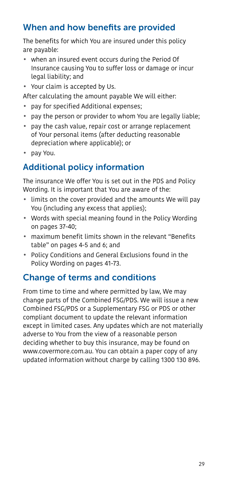# <span id="page-28-0"></span>When and how benefits are provided

The benefits for which You are insured under this policy are payable:

- when an insured event occurs during the Period Of Insurance causing You to suffer loss or damage or incur legal liability; and
- Your claim is accepted by Us.

After calculating the amount payable We will either:

- pay for specified Additional expenses;
- pay the person or provider to whom You are legally liable;
- pay the cash value, repair cost or arrange replacement of Your personal items (after deducting reasonable depreciation where applicable); or
- pay You.

# <span id="page-28-1"></span>Additional policy information

The insurance We offer You is set out in the PDS and Policy Wording. It is important that You are aware of the:

- limits on the cover provided and the amounts We will pay You (including any excess that applies);
- Words with special meaning found in the Policy Wording on pages [37-](#page-36-1)[40](#page-39-0);
- maximum benefit limits shown in the relevant "Benefits table" on pages 4-5 and 6; and
- Policy Conditions and General Exclusions found in the Policy Wording on pages [41](#page-40-0)[-73](#page-72-0).

### <span id="page-28-2"></span>Change of terms and conditions

From time to time and where permitted by law, We may change parts of the Combined FSG/PDS. We will issue a new Combined FSG/PDS or a Supplementary FSG or PDS or other compliant document to update the relevant information except in limited cases. Any updates which are not materially adverse to You from the view of a reasonable person deciding whether to buy this insurance, may be found on www.covermore.com.au. You can obtain a paper copy of any updated information without charge by calling 1300 130 896.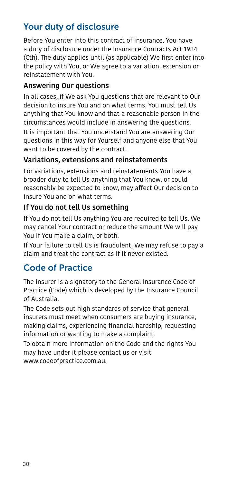# Your duty of disclosure

Before You enter into this contract of insurance, You have a duty of disclosure under the Insurance Contracts Act 1984 (Cth). The duty applies until (as applicable) We first enter into the policy with You, or We agree to a variation, extension or reinstatement with You.

#### Answering Our questions

In all cases, if We ask You questions that are relevant to Our decision to insure You and on what terms, You must tell Us anything that You know and that a reasonable person in the circumstances would include in answering the questions. It is important that You understand You are answering Our questions in this way for Yourself and anyone else that You want to be covered by the contract.

#### Variations, extensions and reinstatements

For variations, extensions and reinstatements You have a broader duty to tell Us anything that You know, or could reasonably be expected to know, may affect Our decision to insure You and on what terms.

#### If You do not tell Us something

If You do not tell Us anything You are required to tell Us, We may cancel Your contract or reduce the amount We will pay You if You make a claim, or both.

If Your failure to tell Us is fraudulent, We may refuse to pay a claim and treat the contract as if it never existed.

# Code of Practice

The insurer is a signatory to the General Insurance Code of Practice (Code) which is developed by the Insurance Council of Australia.

The Code sets out high standards of service that general insurers must meet when consumers are buying insurance, making claims, experiencing financial hardship, requesting information or wanting to make a complaint.

To obtain more information on the Code and the rights You may have under it please contact us or visit www.codeofpractice.com.au.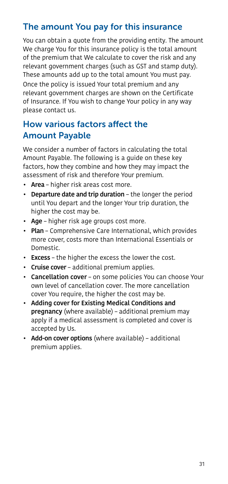## The amount You pay for this insurance

You can obtain a quote from the providing entity. The amount We charge You for this insurance policy is the total amount of the premium that We calculate to cover the risk and any relevant government charges (such as GST and stamp duty). These amounts add up to the total amount You must pay.

Once the policy is issued Your total premium and any relevant government charges are shown on the Certificate of Insurance. If You wish to change Your policy in any way please contact us.

# How various factors affect the Amount Payable

We consider a number of factors in calculating the total Amount Payable. The following is a guide on these key factors, how they combine and how they may impact the assessment of risk and therefore Your premium.

- Area higher risk areas cost more.
- Departure date and trip duration the longer the period until You depart and the longer Your trip duration, the higher the cost may be.
- Age higher risk age groups cost more.
- Plan Comprehensive Care International, which provides more cover, costs more than International Essentials or Domestic.
- Excess the higher the excess the lower the cost.
- Cruise cover additional premium applies.
- Cancellation cover on some policies You can choose Your own level of cancellation cover. The more cancellation cover You require, the higher the cost may be.
- Adding cover for Existing Medical Conditions and pregnancy (where available) – additional premium may apply if a medical assessment is completed and cover is accepted by Us.
- Add-on cover options (where available) additional premium applies.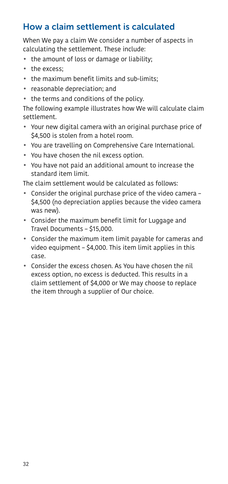# How a claim settlement is calculated

When We pay a claim We consider a number of aspects in calculating the settlement. These include:

- the amount of loss or damage or liability;
- the excess;
- the maximum benefit limits and sub-limits;
- reasonable depreciation; and
- the terms and conditions of the policy.

The following example illustrates how We will calculate claim settlement.

- Your new digital camera with an original purchase price of \$4,500 is stolen from a hotel room.
- You are travelling on Comprehensive Care International.
- You have chosen the nil excess option.
- You have not paid an additional amount to increase the standard item limit.

The claim settlement would be calculated as follows:

- Consider the original purchase price of the video camera \$4,500 (no depreciation applies because the video camera was new).
- Consider the maximum benefit limit for Luggage and Travel Documents – \$15,000.
- Consider the maximum item limit payable for cameras and video equipment – \$4,000. This item limit applies in this case.
- Consider the excess chosen. As You have chosen the nil excess option, no excess is deducted. This results in a claim settlement of \$4,000 or We may choose to replace the item through a supplier of Our choice.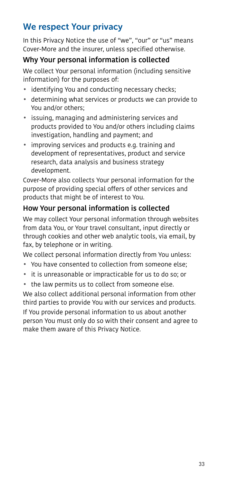# We respect Your privacy

In this Privacy Notice the use of "we", "our" or "us" means Cover-More and the insurer, unless specified otherwise.

#### Why Your personal information is collected

We collect Your personal information (including sensitive information) for the purposes of:

- identifying You and conducting necessary checks;
- determining what services or products we can provide to You and/or others;
- issuing, managing and administering services and products provided to You and/or others including claims investigation, handling and payment; and
- improving services and products e.g. training and development of representatives, product and service research, data analysis and business strategy development.

Cover-More also collects Your personal information for the purpose of providing special offers of other services and products that might be of interest to You.

#### How Your personal information is collected

We may collect Your personal information through websites from data You, or Your travel consultant, input directly or through cookies and other web analytic tools, via email, by fax, by telephone or in writing.

We collect personal information directly from You unless:

- You have consented to collection from someone else;
- it is unreasonable or impracticable for us to do so; or
- the law permits us to collect from someone else.

We also collect additional personal information from other third parties to provide You with our services and products. If You provide personal information to us about another person You must only do so with their consent and agree to make them aware of this Privacy Notice.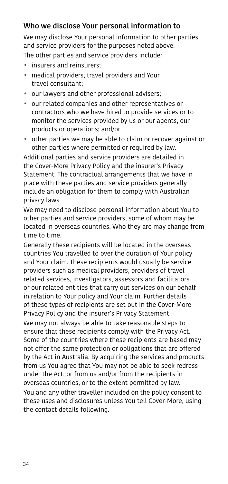#### Who we disclose Your personal information to

We may disclose Your personal information to other parties and service providers for the purposes noted above. The other parties and service providers include:

- insurers and reinsurers;
- medical providers, travel providers and Your travel consultant;
- our lawyers and other professional advisers;
- our related companies and other representatives or contractors who we have hired to provide services or to monitor the services provided by us or our agents, our products or operations; and/or
- other parties we may be able to claim or recover against or other parties where permitted or required by law.

Additional parties and service providers are detailed in the Cover-More Privacy Policy and the insurer's Privacy Statement. The contractual arrangements that we have in place with these parties and service providers generally include an obligation for them to comply with Australian privacy laws.

We may need to disclose personal information about You to other parties and service providers, some of whom may be located in overseas countries. Who they are may change from time to time.

Generally these recipients will be located in the overseas countries You travelled to over the duration of Your policy and Your claim. These recipients would usually be service providers such as medical providers, providers of travel related services, investigators, assessors and facilitators or our related entities that carry out services on our behalf in relation to Your policy and Your claim. Further details of these types of recipients are set out in the Cover-More Privacy Policy and the insurer's Privacy Statement.

We may not always be able to take reasonable steps to ensure that these recipients comply with the Privacy Act. Some of the countries where these recipients are based may not offer the same protection or obligations that are offered by the Act in Australia. By acquiring the services and products from us You agree that You may not be able to seek redress under the Act, or from us and/or from the recipients in overseas countries, or to the extent permitted by law. You and any other traveller included on the policy consent to these uses and disclosures unless You tell Cover-More, using the contact details following.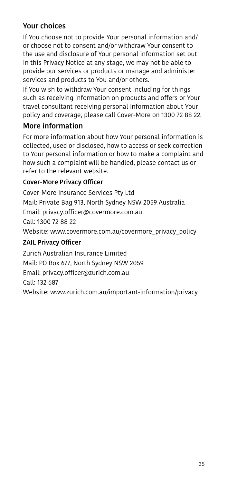### Your choices

If You choose not to provide Your personal information and/ or choose not to consent and/or withdraw Your consent to the use and disclosure of Your personal information set out in this Privacy Notice at any stage, we may not be able to provide our services or products or manage and administer services and products to You and/or others.

If You wish to withdraw Your consent including for things such as receiving information on products and offers or Your travel consultant receiving personal information about Your policy and coverage, please call Cover-More on 1300 72 88 22.

### More information

For more information about how Your personal information is collected, used or disclosed, how to access or seek correction to Your personal information or how to make a complaint and how such a complaint will be handled, please contact us or refer to the relevant website.

#### Cover-More Privacy Officer

Cover-More Insurance Services Pty Ltd Mail: Private Bag 913, North Sydney NSW 2059 Australia Email: privacy.officer@covermore.com.au Call: 1300 72 88 22 Website: www.covermore.com.au/covermore\_privacy\_policy ZAIL Privacy Officer Zurich Australian Insurance Limited

Mail: PO Box 677, North Sydney NSW 2059 Email: privacy.officer@zurich.com.au

Call: 132 687

Website: www.zurich.com.au/important-information/privacy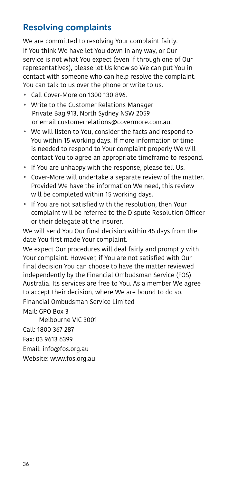# Resolving complaints

We are committed to resolving Your complaint fairly. If You think We have let You down in any way, or Our service is not what You expect (even if through one of Our representatives), please let Us know so We can put You in contact with someone who can help resolve the complaint. You can talk to us over the phone or write to us.

- Call Cover-More on 1300 130 896.
- Write to the Customer Relations Manager Private Bag 913, North Sydney NSW 2059 or email customerrelations@covermore.com.au.
- We will listen to You, consider the facts and respond to You within 15 working days. If more information or time is needed to respond to Your complaint properly We will contact You to agree an appropriate timeframe to respond.
- If You are unhappy with the response, please tell Us.
- Cover-More will undertake a separate review of the matter. Provided We have the information We need, this review will be completed within 15 working days.
- If You are not satisfied with the resolution, then Your complaint will be referred to the Dispute Resolution Officer or their delegate at the insurer.

We will send You Our final decision within 45 days from the date You first made Your complaint.

We expect Our procedures will deal fairly and promptly with Your complaint. However, if You are not satisfied with Our final decision You can choose to have the matter reviewed independently by the Financial Ombudsman Service (FOS) Australia. Its services are free to You. As a member We agree to accept their decision, where We are bound to do so. Financial Ombudsman Service Limited

Mail: GPO Box 3

Melbourne VIC 3001

Call: 1800 367 287

Fax: 03 9613 6399

Email: info@fos.org.au

<span id="page-35-0"></span>Website: www.fos.org.au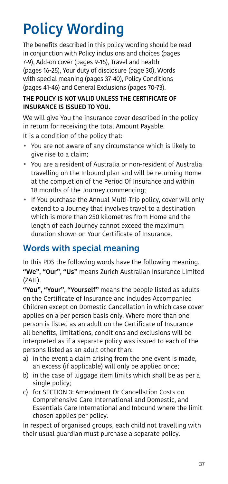# Policy Wording

The benefits described in this policy wording should be read in conjunction with Policy inclusions and choices (pages [7](#page-6-0)[-9](#page-8-0)), Add-on cover (pages [9-](#page-8-1)[15](#page-14-0)), Travel and health (pages [16](#page-15-0)[-25](#page-24-0)), Your duty of disclosure (page [30\)](#page-29-0), Words with special meaning (pages [37](#page-36-0)[-40\)](#page-39-0), Policy Conditions (pages [41](#page-40-0)[-46](#page-45-0)) and General Exclusions (pages [70](#page-69-0)-[73](#page-72-0)).

## THE POLICY IS NOT VALID UNLESS THE CERTIFICATE OF INSURANCE IS ISSUED TO YOU.

We will give You the insurance cover described in the policy in return for receiving the total Amount Payable.

It is a condition of the policy that:

- You are not aware of any circumstance which is likely to give rise to a claim;
- <span id="page-36-1"></span>• You are a resident of Australia or non-resident of Australia travelling on the Inbound plan and will be returning Home at the completion of the Period Of Insurance and within 18 months of the Journey commencing;
- If You purchase the Annual Multi-Trip policy, cover will only extend to a Journey that involves travel to a destination which is more than 250 kilometres from Home and the length of each Journey cannot exceed the maximum duration shown on Your Certificate of Insurance.

## <span id="page-36-0"></span>Words with special meaning

In this PDS the following words have the following meaning. "We", "Our", "Us" means Zurich Australian Insurance Limited (ZAIL).

"You", "Your", "Yourself" means the people listed as adults on the Certificate of Insurance and includes Accompanied Children except on Domestic Cancellation in which case cover applies on a per person basis only. Where more than one person is listed as an adult on the Certificate of Insurance all benefits, limitations, conditions and exclusions will be interpreted as if a separate policy was issued to each of the persons listed as an adult other than:

- a) in the event a claim arising from the one event is made, an excess (if applicable) will only be applied once;
- b) in the case of luggage item limits which shall be as per a single policy;
- c) for [SECTION 3: Amendment Or Cancellation Costs](#page-49-0) on Comprehensive Care International and Domestic, and Essentials Care International and Inbound where the limit chosen applies per policy.

In respect of organised groups, each child not travelling with their usual guardian must purchase a separate policy.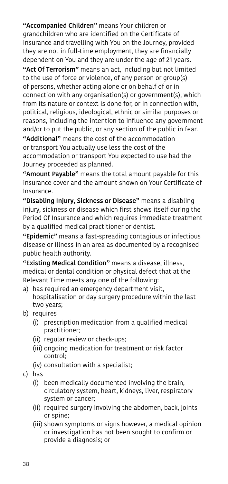"Accompanied Children" means Your children or grandchildren who are identified on the Certificate of Insurance and travelling with You on the Journey, provided they are not in full-time employment, they are financially dependent on You and they are under the age of 21 years.

"Act Of Terrorism" means an act, including but not limited to the use of force or violence, of any person or group(s) of persons, whether acting alone or on behalf of or in connection with any organisation(s) or government(s), which from its nature or context is done for, or in connection with, political, religious, ideological, ethnic or similar purposes or reasons, including the intention to influence any government and/or to put the public, or any section of the public in fear.

"Additional" means the cost of the accommodation or transport You actually use less the cost of the accommodation or transport You expected to use had the Journey proceeded as planned.

"Amount Payable" means the total amount payable for this insurance cover and the amount shown on Your Certificate of Insurance.

"Disabling Injury, Sickness or Disease" means a disabling injury, sickness or disease which first shows itself during the Period Of Insurance and which requires immediate treatment by a qualified medical practitioner or dentist.

"Epidemic" means a fast-spreading contagious or infectious disease or illness in an area as documented by a recognised public health authority.

"Existing Medical Condition" means a disease, illness, medical or dental condition or physical defect that at the Relevant Time meets any one of the following:

- a) has required an emergency department visit, hospitalisation or day surgery procedure within the last two years;
- b) requires
	- (i) prescription medication from a qualified medical practitioner;
	- (ii) regular review or check-ups;
	- (iii) ongoing medication for treatment or risk factor control;
	- (iv) consultation with a specialist;
- c) has
	- (i) been medically documented involving the brain, circulatory system, heart, kidneys, liver, respiratory system or cancer;
	- (ii) required surgery involving the abdomen, back, joints or spine;
	- (iii) shown symptoms or signs however, a medical opinion or investigation has not been sought to confirm or provide a diagnosis; or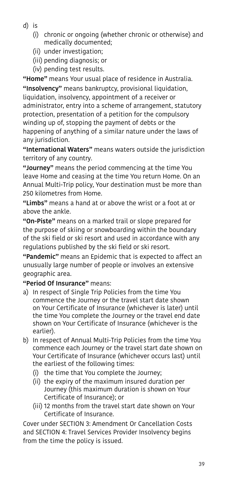- d) is
	- (i) chronic or ongoing (whether chronic or otherwise) and medically documented;
	- (ii) under investigation;
	- (iii) pending diagnosis; or
	- (iv) pending test results.

"Home" means Your usual place of residence in Australia. "Insolvency" means bankruptcy, provisional liquidation, liquidation, insolvency, appointment of a receiver or administrator, entry into a scheme of arrangement, statutory protection, presentation of a petition for the compulsory winding up of, stopping the payment of debts or the happening of anything of a similar nature under the laws of any jurisdiction.

"International Waters" means waters outside the jurisdiction territory of any country.

"Journey" means the period commencing at the time You leave Home and ceasing at the time You return Home. On an Annual Multi-Trip policy, Your destination must be more than 250 kilometres from Home.

"Limbs" means a hand at or above the wrist or a foot at or above the ankle.

"On-Piste" means on a marked trail or slope prepared for the purpose of skiing or snowboarding within the boundary of the ski field or ski resort and used in accordance with any regulations published by the ski field or ski resort.

"Pandemic" means an Epidemic that is expected to affect an unusually large number of people or involves an extensive geographic area.

"Period Of Insurance" means:

- a) In respect of Single Trip Policies from the time You commence the Journey or the travel start date shown on Your Certificate of Insurance (whichever is later) until the time You complete the Journey or the travel end date shown on Your Certificate of Insurance (whichever is the earlier).
- b) In respect of Annual Multi-Trip Policies from the time You commence each Journey or the travel start date shown on Your Certificate of Insurance (whichever occurs last) until the earliest of the following times:
	- (i) the time that You complete the Journey;
	- (ii) the expiry of the maximum insured duration per Journey (this maximum duration is shown on Your Certificate of Insurance); or
	- (iii) 12 months from the travel start date shown on Your Certificate of Insurance.

Cover under [SECTION 3: Amendment Or Cancellation Costs](#page-49-0) and [SECTION 4: Travel Services Provider Insolvency](#page-51-0) begins from the time the policy is issued.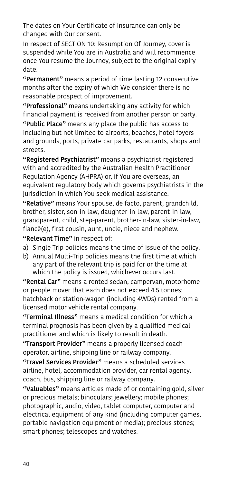The dates on Your Certificate of Insurance can only be changed with Our consent.

In respect of [SECTION 10: Resumption Of Journey](#page-57-0), cover is suspended while You are in Australia and will recommence once You resume the Journey, subject to the original expiry date.

"Permanent" means a period of time lasting 12 consecutive months after the expiry of which We consider there is no reasonable prospect of improvement.

"Professional" means undertaking any activity for which financial payment is received from another person or party. "Public Place" means any place the public has access to including but not limited to airports, beaches, hotel foyers and grounds, ports, private car parks, restaurants, shops and streets.

"Registered Psychiatrist" means a psychiatrist registered with and accredited by the Australian Health Practitioner Regulation Agency (AHPRA) or, if You are overseas, an equivalent regulatory body which governs psychiatrists in the jurisdiction in which You seek medical assistance.

"Relative" means Your spouse, de facto, parent, grandchild, brother, sister, son-in-law, daughter-in-law, parent-in-law, grandparent, child, step-parent, brother-in-law, sister-in-law, fiancé(e), first cousin, aunt, uncle, niece and nephew.

"Relevant Time" in respect of:

- a) Single Trip policies means the time of issue of the policy.
- b) Annual Multi-Trip policies means the first time at which any part of the relevant trip is paid for or the time at which the policy is issued, whichever occurs last.

"Rental Car" means a rented sedan, campervan, motorhome or people mover that each does not exceed 4.5 tonnes; hatchback or station-wagon (including 4WDs) rented from a licensed motor vehicle rental company.

"Terminal Illness" means a medical condition for which a terminal prognosis has been given by a qualified medical practitioner and which is likely to result in death.

"Transport Provider" means a properly licensed coach operator, airline, shipping line or railway company.

"Travel Services Provider" means a scheduled services airline, hotel, accommodation provider, car rental agency, coach, bus, shipping line or railway company.

<span id="page-39-0"></span>"Valuables" means articles made of or containing gold, silver or precious metals; binoculars; jewellery; mobile phones; photographic, audio, video, tablet computer, computer and electrical equipment of any kind (including computer games, portable navigation equipment or media); precious stones; smart phones; telescopes and watches.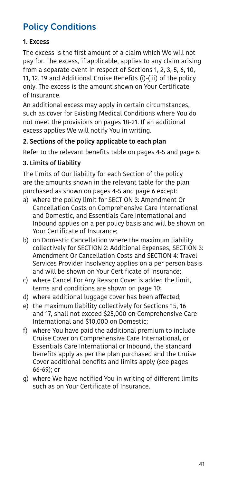# <span id="page-40-0"></span>Policy Conditions

## 1. Excess

The excess is the first amount of a claim which We will not pay for. The excess, if applicable, applies to any claim arising from a separate event in respect of Sections 1, 2, 3, 5, 6, 10, 11, 12, 19 and Additional Cruise Benefits (i)-(iii) of the policy only. The excess is the amount shown on Your Certificate of Insurance.

An additional excess may apply in certain circumstances, such as cover for Existing Medical Conditions where You do not meet the provisions on pages [18](#page-17-0)[-21](#page-20-0). If an additional excess applies We will notify You in writing.

## 2. Sections of the policy applicable to each plan

Refer to the relevant benefits table on pages 4-5 and page 6.

## 3. Limits of liability

The limits of Our liability for each Section of the policy are the amounts shown in the relevant table for the plan purchased as shown on pages 4-5 and page 6 except:

- a) where the policy limit for [SECTION 3: Amendment Or](#page-49-0)  [Cancellation Costs](#page-49-0) on Comprehensive Care International and Domestic, and Essentials Care International and Inbound applies on a per policy basis and will be shown on Your Certificate of Insurance;
- b) on Domestic Cancellation where the maximum liability collectively for [SECTION 2: Additional Expenses](#page-47-0), [SECTION 3:](#page-49-0)  [Amendment Or Cancellation Costs](#page-49-0) and [SECTION 4: Travel](#page-51-0)  [Services Provider Insolvency](#page-51-0) applies on a per person basis and will be shown on Your Certificate of Insurance;
- c) where Cancel For Any Reason Cover is added the limit, terms and conditions are shown on page [10](#page-9-0);
- d) where additional luggage cover has been affected;
- e) the maximum liability collectively for Sections 15, 16 and 17, shall not exceed \$25,000 on Comprehensive Care International and \$10,000 on Domestic;
- f) where You have paid the additional premium to include Cruise Cover on Comprehensive Care International, or Essentials Care International or Inbound, the standard benefits apply as per the plan purchased and the Cruise Cover additional benefits and limits apply (see pages [66-](#page-65-0)[69](#page-68-0)); or
- g) where We have notified You in writing of different limits such as on Your Certificate of Insurance.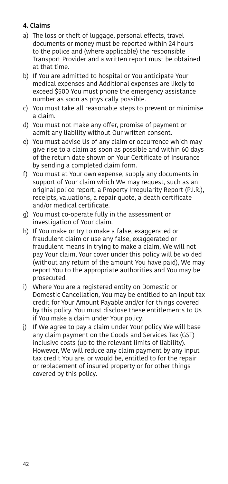## 4. Claims

- a) The loss or theft of luggage, personal effects, travel documents or money must be reported within 24 hours to the police and (where applicable) the responsible Transport Provider and a written report must be obtained at that time.
- b) If You are admitted to hospital or You anticipate Your medical expenses and Additional expenses are likely to exceed \$500 You must phone the emergency assistance number as soon as physically possible.
- c) You must take all reasonable steps to prevent or minimise a claim.
- d) You must not make any offer, promise of payment or admit any liability without Our written consent.
- e) You must advise Us of any claim or occurrence which may give rise to a claim as soon as possible and within 60 days of the return date shown on Your Certificate of Insurance by sending a completed claim form.
- f) You must at Your own expense, supply any documents in support of Your claim which We may request, such as an original police report, a Property Irregularity Report (P.I.R.), receipts, valuations, a repair quote, a death certificate and/or medical certificate.
- g) You must co-operate fully in the assessment or investigation of Your claim.
- h) If You make or try to make a false, exaggerated or fraudulent claim or use any false, exaggerated or fraudulent means in trying to make a claim, We will not pay Your claim, Your cover under this policy will be voided (without any return of the amount You have paid), We may report You to the appropriate authorities and You may be prosecuted.
- i) Where You are a registered entity on Domestic or Domestic Cancellation, You may be entitled to an input tax credit for Your Amount Payable and/or for things covered by this policy. You must disclose these entitlements to Us if You make a claim under Your policy.
- j) If We agree to pay a claim under Your policy We will base any claim payment on the Goods and Services Tax (GST) inclusive costs (up to the relevant limits of liability). However, We will reduce any claim payment by any input tax credit You are, or would be, entitled to for the repair or replacement of insured property or for other things covered by this policy.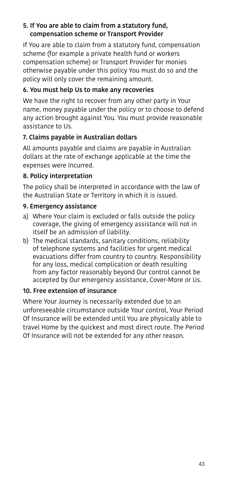## 5. If You are able to claim from a statutory fund, compensation scheme or Transport Provider

If You are able to claim from a statutory fund, compensation scheme (for example a private health fund or workers compensation scheme) or Transport Provider for monies otherwise payable under this policy You must do so and the policy will only cover the remaining amount.

## 6. You must help Us to make any recoveries

We have the right to recover from any other party in Your name, money payable under the policy or to choose to defend any action brought against You. You must provide reasonable assistance to Us.

## 7. Claims payable in Australian dollars

All amounts payable and claims are payable in Australian dollars at the rate of exchange applicable at the time the expenses were incurred.

## 8. Policy interpretation

The policy shall be interpreted in accordance with the law of the Australian State or Territory in which it is issued.

#### 9. Emergency assistance

- a) Where Your claim is excluded or falls outside the policy coverage, the giving of emergency assistance will not in itself be an admission of liability.
- b) The medical standards, sanitary conditions, reliability of telephone systems and facilities for urgent medical evacuations differ from country to country. Responsibility for any loss, medical complication or death resulting from any factor reasonably beyond Our control cannot be accepted by Our emergency assistance, Cover-More or Us.

#### 10. Free extension of insurance

Where Your Journey is necessarily extended due to an unforeseeable circumstance outside Your control, Your Period Of Insurance will be extended until You are physically able to travel Home by the quickest and most direct route. The Period Of Insurance will not be extended for any other reason.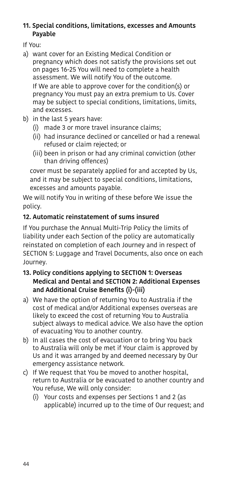#### 11. Special conditions, limitations, excesses and Amounts Payable

If You:

- a) want cover for an Existing Medical Condition or pregnancy which does not satisfy the provisions set out on pages [16-](#page-15-0)[25](#page-24-0) You will need to complete a health assessment. We will notify You of the outcome. If We are able to approve cover for the condition(s) or pregnancy You must pay an extra premium to Us. Cover may be subject to special conditions, limitations, limits, and excesses.
- b) in the last 5 years have:
	- (i) made 3 or more travel insurance claims;
	- (ii) had insurance declined or cancelled or had a renewal refused or claim rejected; or
	- (iii) been in prison or had any criminal conviction (other than driving offences)

 cover must be separately applied for and accepted by Us, and it may be subject to special conditions, limitations, excesses and amounts payable.

We will notify You in writing of these before We issue the policy.

## 12. Automatic reinstatement of sums insured

If You purchase the Annual Multi-Trip Policy the limits of liability under each Section of the policy are automatically reinstated on completion of each Journey and in respect of [SECTION 5: Luggage and Travel Documents](#page-52-0), also once on each Journey.

- 13. Policy conditions applying to [SECTION 1: Overseas](#page-46-0)  [Medical and Dental](#page-46-0) and [SECTION 2: Additional Expenses](#page-47-0)  and Additional Cruise Benefits (i)-(iii)
- a) We have the option of returning You to Australia if the cost of medical and/or Additional expenses overseas are likely to exceed the cost of returning You to Australia subject always to medical advice. We also have the option of evacuating You to another country.
- b) In all cases the cost of evacuation or to bring You back to Australia will only be met if Your claim is approved by Us and it was arranged by and deemed necessary by Our emergency assistance network.
- c) If We request that You be moved to another hospital, return to Australia or be evacuated to another country and You refuse, We will only consider:
	- (i) Your costs and expenses per Sections 1 and 2 (as applicable) incurred up to the time of Our request; and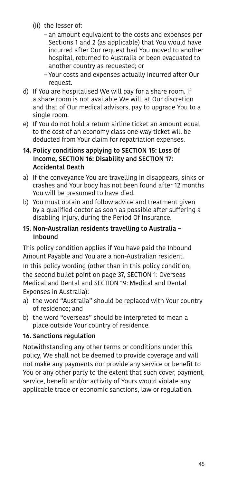- (ii) the lesser of:
	- an amount equivalent to the costs and expenses per Sections 1 and 2 (as applicable) that You would have incurred after Our request had You moved to another hospital, returned to Australia or been evacuated to another country as requested; or
	- Your costs and expenses actually incurred after Our request.
- d) If You are hospitalised We will pay for a share room. If a share room is not available We will, at Our discretion and that of Our medical advisors, pay to upgrade You to a single room.
- e) If You do not hold a return airline ticket an amount equal to the cost of an economy class one way ticket will be deducted from Your claim for repatriation expenses.
- 14. Policy conditions applying to [SECTION 15: Loss Of](#page-61-0)  [Income](#page-61-0), [SECTION 16: Disability](#page-62-0) and [SECTION 17:](#page-62-1)  [Accidental Death](#page-62-1)
- a) If the conveyance You are travelling in disappears, sinks or crashes and Your body has not been found after 12 months You will be presumed to have died.
- b) You must obtain and follow advice and treatment given by a qualified doctor as soon as possible after suffering a disabling injury, during the Period Of Insurance.

#### 15. Non-Australian residents travelling to Australia – Inbound

This policy condition applies if You have paid the Inbound Amount Payable and You are a non-Australian resident. In this policy wording (other than in this policy condition, the second bullet point on page [37,](#page-36-1) [SECTION 1: Overseas](#page-46-0) 

[Medical and Dental](#page-46-0) and [SECTION 19: Medical and Dental](#page-64-0)  [Expenses in Australia](#page-64-0)):

- a) the word "Australia" should be replaced with Your country of residence; and
- b) the word "overseas" should be interpreted to mean a place outside Your country of residence.

## 16. Sanctions regulation

Notwithstanding any other terms or conditions under this policy, We shall not be deemed to provide coverage and will not make any payments nor provide any service or benefit to You or any other party to the extent that such cover, payment, service, benefit and/or activity of Yours would violate any applicable trade or economic sanctions, law or regulation.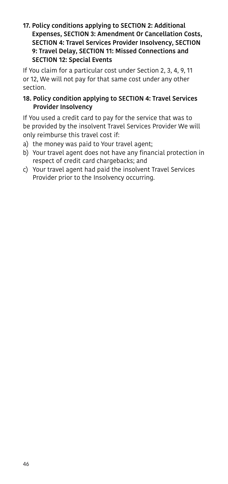#### 17. Policy conditions applying to [SECTION 2: Additional](#page-47-0)  [Expenses](#page-47-0), [SECTION 3: Amendment Or Cancellation Costs](#page-49-0), [SECTION 4: Travel Services Provider Insolvency,](#page-51-0) [SECTION](#page-56-0)  [9: Travel Delay](#page-56-0), [SECTION 11: Missed Connections](#page-58-0) and [SECTION 12: Special Events](#page-59-0)

If You claim for a particular cost under Section 2, 3, 4, 9, 11 or 12, We will not pay for that same cost under any other section.

## 18. Policy condition applying to [SECTION 4: Travel Services](#page-51-0)  [Provider Insolvency](#page-51-0)

<span id="page-45-0"></span>If You used a credit card to pay for the service that was to be provided by the insolvent Travel Services Provider We will only reimburse this travel cost if:

- a) the money was paid to Your travel agent;
- b) Your travel agent does not have any financial protection in respect of credit card chargebacks; and
- c) Your travel agent had paid the insolvent Travel Services Provider prior to the Insolvency occurring.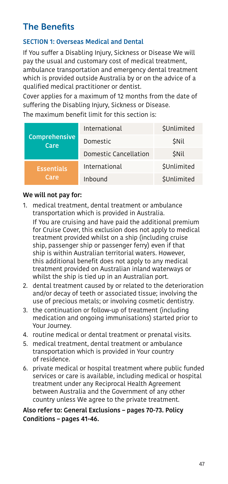# The Benefits

## <span id="page-46-0"></span>SECTION 1: Overseas Medical and Dental

If You suffer a Disabling Injury, Sickness or Disease We will pay the usual and customary cost of medical treatment, ambulance transportation and emergency dental treatment which is provided outside Australia by or on the advice of a qualified medical practitioner or dentist.

Cover applies for a maximum of 12 months from the date of suffering the Disabling Injury, Sickness or Disease.

The maximum benefit limit for this section is:

| Comprehensive<br>Care     | International         | <b>\$Unlimited</b> |
|---------------------------|-----------------------|--------------------|
|                           | Domestic              | <b>SNIL</b>        |
|                           | Domestic Cancellation | <b>SNIL</b>        |
| <b>Essentials</b><br>Care | International         | \$Unlimited        |
|                           | Inhound               | \$Unlimited        |

#### We will not pay for:

- 1. medical treatment, dental treatment or ambulance transportation which is provided in Australia. If You are cruising and have paid the additional premium for Cruise Cover, this exclusion does not apply to medical treatment provided whilst on a ship (including cruise ship, passenger ship or passenger ferry) even if that ship is within Australian territorial waters. However, this additional benefit does not apply to any medical treatment provided on Australian inland waterways or
- whilst the ship is tied up in an Australian port. 2. dental treatment caused by or related to the deterioration and/or decay of teeth or associated tissue; involving the use of precious metals; or involving cosmetic dentistry.
- 3. the continuation or follow-up of treatment (including medication and ongoing immunisations) started prior to Your Journey.
- 4. routine medical or dental treatment or prenatal visits.
- 5. medical treatment, dental treatment or ambulance transportation which is provided in Your country of residence.
- 6. private medical or hospital treatment where public funded services or care is available, including medical or hospital treatment under any Reciprocal Health Agreement between Australia and the Government of any other country unless We agree to the private treatment.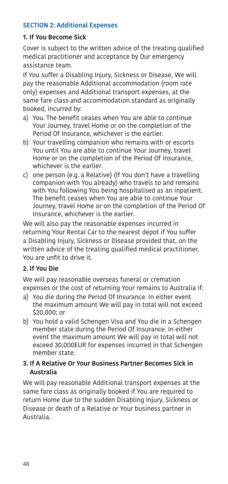## <span id="page-47-0"></span>SECTION 2: Additional Expenses

#### 1. If You Become Sick

Cover is subject to the written advice of the treating qualified medical practitioner and acceptance by Our emergency assistance team.

If You suffer a Disabling Injury, Sickness or Disease, We will pay the reasonable Additional accommodation (room rate only) expenses and Additional transport expenses, at the same fare class and accommodation standard as originally booked, incurred by:

- a) You. The benefit ceases when You are able to continue Your Journey, travel Home or on the completion of the Period Of Insurance, whichever is the earlier.
- b) Your travelling companion who remains with or escorts You until You are able to continue Your Journey, travel Home or on the completion of the Period Of Insurance, whichever is the earlier.
- c) one person (e.g. a Relative) (If You don't have a travelling companion with You already) who travels to and remains with You following You being hospitalised as an inpatient. The benefit ceases when You are able to continue Your Journey, travel Home or on the completion of the Period Of Insurance, whichever is the earlier.

We will also pay the reasonable expenses incurred in returning Your Rental Car to the nearest depot if You suffer a Disabling Injury, Sickness or Disease provided that, on the written advice of the treating qualified medical practitioner, You are unfit to drive it.

#### 2. If You Die

We will pay reasonable overseas funeral or cremation expenses or the cost of returning Your remains to Australia if:

- a) You die during the Period Of Insurance. In either event the maximum amount We will pay in total will not exceed \$20,000; or
- b) You hold a valid Schengen Visa and You die in a Schengen member state during the Period Of Insurance. In either event the maximum amount We will pay in total will not exceed 30,000EUR for expenses incurred in that Schengen member state.

#### 3. If A Relative Or Your Business Partner Becomes Sick in Australia

We will pay reasonable Additional transport expenses at the same fare class as originally booked if You are required to return Home due to the sudden Disabling Injury, Sickness or Disease or death of a Relative or Your business partner in Australia.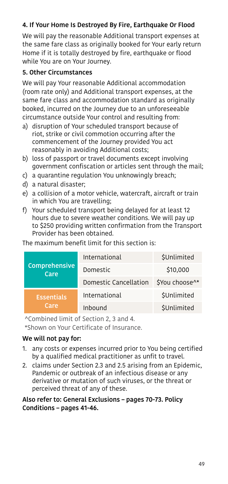## 4. If Your Home Is Destroyed By Fire, Earthquake Or Flood

We will pay the reasonable Additional transport expenses at the same fare class as originally booked for Your early return Home if it is totally destroved by fire, earthquake or flood while You are on Your Journey.

## 5. Other Circumstances

We will pay Your reasonable Additional accommodation (room rate only) and Additional transport expenses, at the same fare class and accommodation standard as originally booked, incurred on the Journey due to an unforeseeable circumstance outside Your control and resulting from:

- a) disruption of Your scheduled transport because of riot, strike or civil commotion occurring after the commencement of the Journey provided You act reasonably in avoiding Additional costs;
- b) loss of passport or travel documents except involving government confiscation or articles sent through the mail;
- c) a quarantine regulation You unknowingly breach;
- d) a natural disaster;
- e) a collision of a motor vehicle, watercraft, aircraft or train in which You are travelling;
- f) Your scheduled transport being delayed for at least 12 hours due to severe weather conditions. We will pay up to \$250 providing written confirmation from the Transport Provider has been obtained.

#### The maximum benefit limit for this section is:

| Comprehensive<br>Care<br><b>Essentials</b><br>Care | International         | <b>\$Unlimited</b> |
|----------------------------------------------------|-----------------------|--------------------|
|                                                    | Domestic              | \$10,000           |
|                                                    | Domestic Cancellation | \$You choose^*     |
|                                                    | International         | \$Unlimited        |
|                                                    | Inbound               | <b>\$Unlimited</b> |

^Combined limit of Section 2, 3 and 4.

\*Shown on Your Certificate of Insurance.

#### We will not pay for:

- 1. any costs or expenses incurred prior to You being certified by a qualified medical practitioner as unfit to travel.
- 2. claims under Section 2.3 and 2.5 arising from an Epidemic, Pandemic or outbreak of an infectious disease or any derivative or mutation of such viruses, or the threat or perceived threat of any of these.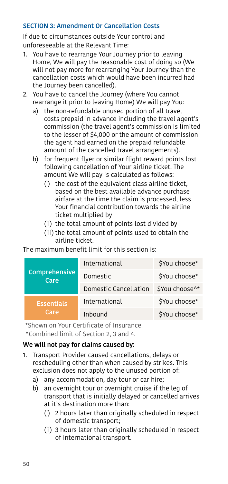## <span id="page-49-0"></span>SECTION 3: Amendment Or Cancellation Costs

If due to circumstances outside Your control and unforeseeable at the Relevant Time:

- 1. You have to rearrange Your Journey prior to leaving Home, We will pay the reasonable cost of doing so (We will not pay more for rearranging Your Journey than the cancellation costs which would have been incurred had the Journey been cancelled).
- 2. You have to cancel the Journey (where You cannot rearrange it prior to leaving Home) We will pay You:
	- a) the non-refundable unused portion of all travel costs prepaid in advance including the travel agent's commission (the travel agent's commission is limited to the lesser of \$4,000 or the amount of commission the agent had earned on the prepaid refundable amount of the cancelled travel arrangements).
	- b) for frequent flyer or similar flight reward points lost following cancellation of Your airline ticket. The amount We will pay is calculated as follows:
		- (i) the cost of the equivalent class airline ticket, based on the best available advance purchase airfare at the time the claim is processed, less Your financial contribution towards the airline ticket multiplied by
		- (ii) the total amount of points lost divided by
		- (iii) the total amount of points used to obtain the airline ticket.

The maximum benefit limit for this section is:

| Comprehensive<br>Care<br><b>Essentials</b><br>Care | International         | \$You choose*  |
|----------------------------------------------------|-----------------------|----------------|
|                                                    | Domestic              | \$You choose*  |
|                                                    | Domestic Cancellation | \$You choose^* |
|                                                    | International         | \$You choose*  |
|                                                    | Inbound               | \$You choose*  |

\*Shown on Your Certificate of Insurance. ^Combined limit of Section 2, 3 and 4.

#### We will not pay for claims caused by:

- 1. Transport Provider caused cancellations, delays or rescheduling other than when caused by strikes. This exclusion does not apply to the unused portion of:
	- a) any accommodation, day tour or car hire;
	- b) an overnight tour or overnight cruise if the leg of transport that is initially delayed or cancelled arrives at it's destination more than:
		- (i) 2 hours later than originally scheduled in respect of domestic transport;
		- (ii) 3 hours later than originally scheduled in respect of international transport.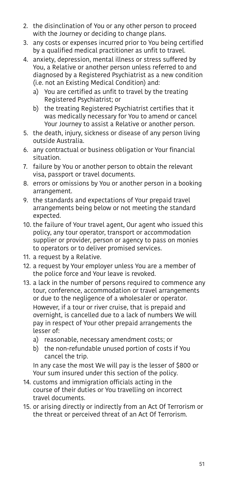- 2. the disinclination of You or any other person to proceed with the Journey or deciding to change plans.
- 3. any costs or expenses incurred prior to You being certified by a qualified medical practitioner as unfit to travel.
- 4. anxiety, depression, mental illness or stress suffered by You, a Relative or another person unless referred to and diagnosed by a Registered Psychiatrist as a new condition (i.e. not an Existing Medical Condition) and:
	- a) You are certified as unfit to travel by the treating Registered Psychiatrist; or
	- b) the treating Registered Psychiatrist certifies that it was medically necessary for You to amend or cancel Your Journey to assist a Relative or another person.
- 5. the death, injury, sickness or disease of any person living outside Australia.
- 6. any contractual or business obligation or Your financial situation.
- 7. failure by You or another person to obtain the relevant visa, passport or travel documents.
- 8. errors or omissions by You or another person in a booking arrangement.
- 9. the standards and expectations of Your prepaid travel arrangements being below or not meeting the standard expected.
- 10. the failure of Your travel agent, Our agent who issued this policy, any tour operator, transport or accommodation supplier or provider, person or agency to pass on monies to operators or to deliver promised services.
- 11. a request by a Relative.
- 12. a request by Your employer unless You are a member of the police force and Your leave is revoked.
- 13. a lack in the number of persons required to commence any tour, conference, accommodation or travel arrangements or due to the negligence of a wholesaler or operator. However, if a tour or river cruise, that is prepaid and overnight, is cancelled due to a lack of numbers We will pay in respect of Your other prepaid arrangements the lesser of:
	- a) reasonable, necessary amendment costs; or
	- b) the non-refundable unused portion of costs if You cancel the trip.

In any case the most We will pay is the lesser of \$800 or Your sum insured under this section of the policy.

- 14. customs and immigration officials acting in the course of their duties or You travelling on incorrect travel documents.
- 15. or arising directly or indirectly from an Act Of Terrorism or the threat or perceived threat of an Act Of Terrorism.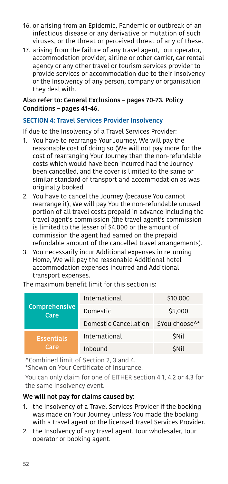- 16. or arising from an Epidemic, Pandemic or outbreak of an infectious disease or any derivative or mutation of such viruses, or the threat or perceived threat of any of these.
- 17. arising from the failure of any travel agent, tour operator, accommodation provider, airline or other carrier, car rental agency or any other travel or tourism services provider to provide services or accommodation due to their Insolvency or the Insolvency of any person, company or organisation they deal with.

#### Also refer to: General Exclusions – pages [70-](#page-69-0)[73.](#page-72-0) Policy Conditions – pages [41](#page-40-0)[-46.](#page-45-0)

## <span id="page-51-0"></span>SECTION 4: Travel Services Provider Insolvency

If due to the Insolvency of a Travel Services Provider:

- 1. You have to rearrange Your Journey, We will pay the reasonable cost of doing so (We will not pay more for the cost of rearranging Your Journey than the non-refundable costs which would have been incurred had the Journey been cancelled, and the cover is limited to the same or similar standard of transport and accommodation as was originally booked.
- 2. You have to cancel the Journey (because You cannot rearrange it), We will pay You the non-refundable unused portion of all travel costs prepaid in advance including the travel agent's commission (the travel agent's commission is limited to the lesser of \$4,000 or the amount of commission the agent had earned on the prepaid refundable amount of the cancelled travel arrangements).
- 3. You necessarily incur Additional expenses in returning Home, We will pay the reasonable Additional hotel accommodation expenses incurred and Additional transport expenses.

The maximum benefit limit for this section is:

| Comprehensive<br>Care<br><b>Essentials</b><br>Care | International         | \$10,000       |
|----------------------------------------------------|-----------------------|----------------|
|                                                    | Domestic              | \$5,000        |
|                                                    | Domestic Cancellation | \$You choose^* |
|                                                    | International         | <b>SNIL</b>    |
|                                                    | Inbound               | <b>SNIL</b>    |

^Combined limit of Section 2, 3 and 4.

\*Shown on Your Certificate of Insurance.

You can only claim for one of EITHER section 4.1, 4.2 or 4.3 for the same Insolvency event.

#### We will not pay for claims caused by:

- 1. the Insolvency of a Travel Services Provider if the booking was made on Your Journey unless You made the booking with a travel agent or the licensed Travel Services Provider.
- 2. the Insolvency of any travel agent, tour wholesaler, tour operator or booking agent.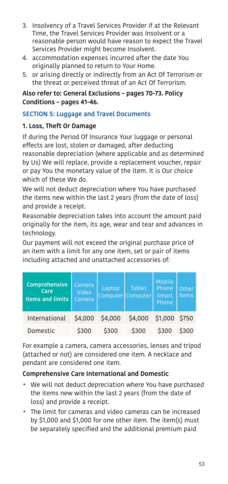- 3. Insolvency of a Travel Services Provider if at the Relevant Time, the Travel Services Provider was Insolvent or a reasonable person would have reason to expect the Travel Services Provider might become Insolvent.
- 4. accommodation expenses incurred after the date You originally planned to return to Your Home.
- 5. or arising directly or indirectly from an Act Of Terrorism or the threat or perceived threat of an Act Of Terrorism.

#### Also refer to: General Exclusions – pages [70](#page-69-0)[-73](#page-72-0). Policy Conditions – pages [41](#page-40-0)[-46](#page-45-0).

## <span id="page-52-0"></span>SECTION 5: Luggage and Travel Documents

## 1. Loss, Theft Or Damage

If during the Period Of Insurance Your luggage or personal effects are lost, stolen or damaged, after deducting reasonable depreciation (where applicable and as determined by Us) We will replace, provide a replacement voucher, repair or pay You the monetary value of the item. It is Our choice which of these We do.

We will not deduct depreciation where You have purchased the items new within the last 2 years (from the date of loss) and provide a receipt.

Reasonable depreciation takes into account the amount paid originally for the item, its age, wear and tear and advances in technology.

Our payment will not exceed the original purchase price of an item with a limit for any one item, set or pair of items including attached and unattached accessories of:

| Comprehensive<br>Care<br><b>Items and limits</b> | Camera<br>Video<br>Camera | Laptop  | <b>Tablet</b><br>Computer Computer | Mobile<br>Phone<br>Smart<br>Phone | Other.<br><b>Items</b> |
|--------------------------------------------------|---------------------------|---------|------------------------------------|-----------------------------------|------------------------|
| International                                    | \$4,000                   | \$4,000 | \$4,000                            | \$1,000 \$750                     |                        |
| Domestic                                         | \$300                     | \$300   | \$300                              | \$300                             | \$300                  |

For example a camera, camera accessories, lenses and tripod (attached or not) are considered one item. A necklace and pendant are considered one item.

## Comprehensive Care International and Domestic

- We will not deduct depreciation where You have purchased the items new within the last 2 years (from the date of loss) and provide a receipt.
- The limit for cameras and video cameras can be increased by \$1,000 and \$1,000 for one other item. The item(s) must be separately specified and the additional premium paid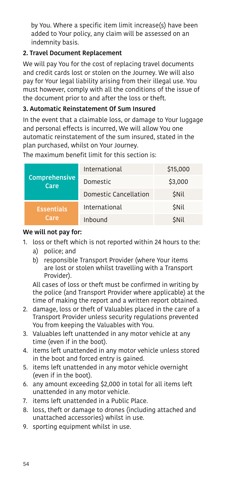by You. Where a specific item limit increase(s) have been added to Your policy, any claim will be assessed on an indemnity basis.

## 2. Travel Document Replacement

We will pay You for the cost of replacing travel documents and credit cards lost or stolen on the Journey. We will also pay for Your legal liability arising from their illegal use. You must however, comply with all the conditions of the issue of the document prior to and after the loss or theft.

## 3. Automatic Reinstatement Of Sum Insured

In the event that a claimable loss, or damage to Your luggage and personal effects is incurred, We will allow You one automatic reinstatement of the sum insured, stated in the plan purchased, whilst on Your Journey.

The maximum benefit limit for this section is:

| Comprehensive<br>Care     | International         | \$15,000    |
|---------------------------|-----------------------|-------------|
|                           | Domestic              | \$3,000     |
|                           | Domestic Cancellation | <b>SNIL</b> |
| <b>Essentials</b><br>Care | International         | <b>SNIL</b> |
|                           | Inbound               | <b>SNIL</b> |

#### We will not pay for:

- 1. loss or theft which is not reported within 24 hours to the:
	- a) police; and
	- b) responsible Transport Provider (where Your items are lost or stolen whilst travelling with a Transport Provider).

 All cases of loss or theft must be confirmed in writing by the police (and Transport Provider where applicable) at the time of making the report and a written report obtained.

- 2. damage, loss or theft of Valuables placed in the care of a Transport Provider unless security regulations prevented You from keeping the Valuables with You.
- 3. Valuables left unattended in any motor vehicle at any time (even if in the boot).
- 4. items left unattended in any motor vehicle unless stored in the boot and forced entry is gained.
- 5. items left unattended in any motor vehicle overnight (even if in the boot).
- 6. any amount exceeding \$2,000 in total for all items left unattended in any motor vehicle.
- 7. items left unattended in a Public Place.
- 8. loss, theft or damage to drones (including attached and unattached accessories) whilst in use.
- 9. sporting equipment whilst in use.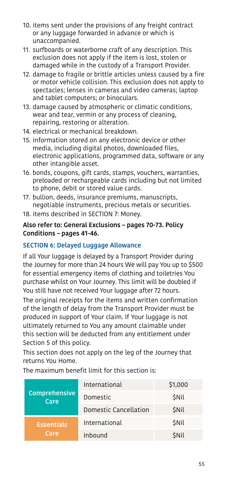- 10. items sent under the provisions of any freight contract or any luggage forwarded in advance or which is unaccompanied.
- 11. surfboards or waterborne craft of any description. This exclusion does not apply if the item is lost, stolen or damaged while in the custody of a Transport Provider.
- 12. damage to fragile or brittle articles unless caused by a fire or motor vehicle collision. This exclusion does not apply to spectacles; lenses in cameras and video cameras; laptop and tablet computers; or binoculars.
- 13. damage caused by atmospheric or climatic conditions, wear and tear, vermin or any process of cleaning, repairing, restoring or alteration.
- 14. electrical or mechanical breakdown.
- 15. information stored on any electronic device or other media, including digital photos, downloaded files, electronic applications, programmed data, software or any other intangible asset.
- 16. bonds, coupons, gift cards, stamps, vouchers, warranties, preloaded or rechargeable cards including but not limited to phone, debit or stored value cards.
- 17. bullion, deeds, insurance premiums, manuscripts, negotiable instruments, precious metals or securities.
- 18. items described in [SECTION 7: Money.](#page-55-0)

#### Also refer to: General Exclusions – pages [70-](#page-69-0)[73.](#page-72-0) Policy Conditions – pages [41](#page-40-0)[-46.](#page-45-0)

#### SECTION 6: Delayed Luggage Allowance

If all Your luggage is delayed by a Transport Provider during the Journey for more than 24 hours We will pay You up to \$500 for essential emergency items of clothing and toiletries You purchase whilst on Your Journey. This limit will be doubled if You still have not received Your luggage after 72 hours.

The original receipts for the items and written confirmation of the length of delay from the Transport Provider must be produced in support of Your claim. If Your luggage is not ultimately returned to You any amount claimable under this section will be deducted from any entitlement under Section 5 of this policy.

This section does not apply on the leg of the Journey that returns You Home.

| Comprehensive<br>Care     | International         | \$1,000     |
|---------------------------|-----------------------|-------------|
|                           | Domestic              | <b>SNIL</b> |
|                           | Domestic Cancellation | <b>SNIL</b> |
| <b>Essentials</b><br>Care | International         | <b>SNIL</b> |
|                           | Inbound               | <b>SNil</b> |

The maximum benefit limit for this section is: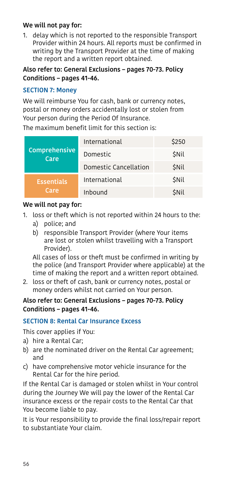#### We will not pay for:

1. delay which is not reported to the responsible Transport Provider within 24 hours. All reports must be confirmed in writing by the Transport Provider at the time of making the report and a written report obtained.

#### Also refer to: General Exclusions – pages [70-](#page-69-0)[73.](#page-72-0) Policy Conditions – pages [41](#page-40-0)[-46.](#page-45-0)

#### <span id="page-55-0"></span>SECTION 7: Money

We will reimburse You for cash, bank or currency notes, postal or money orders accidentally lost or stolen from Your person during the Period Of Insurance.

The maximum benefit limit for this section is:

| Comprehensive<br>Care<br><b>Essentials</b><br>Care | International         | \$250       |
|----------------------------------------------------|-----------------------|-------------|
|                                                    | Domestic              | <b>SNIL</b> |
|                                                    | Domestic Cancellation | <b>SNIL</b> |
|                                                    | International         | <b>SNIL</b> |
|                                                    | Inbound               | <b>SNil</b> |

#### We will not pay for:

- 1. loss or theft which is not reported within 24 hours to the:
	- a) police; and
	- b) responsible Transport Provider (where Your items are lost or stolen whilst travelling with a Transport Provider).

 All cases of loss or theft must be confirmed in writing by the police (and Transport Provider where applicable) at the time of making the report and a written report obtained.

2. loss or theft of cash, bank or currency notes, postal or money orders whilst not carried on Your person.

#### Also refer to: General Exclusions – pages [70-](#page-69-0)[73.](#page-72-0) Policy Conditions – pages [41](#page-40-0)[-46.](#page-45-0)

## SECTION 8: Rental Car Insurance Excess

This cover applies if You:

- a) hire a Rental Car;
- b) are the nominated driver on the Rental Car agreement; and
- c) have comprehensive motor vehicle insurance for the Rental Car for the hire period.

If the Rental Car is damaged or stolen whilst in Your control during the Journey We will pay the lower of the Rental Car insurance excess or the repair costs to the Rental Car that You become liable to pay.

It is Your responsibility to provide the final loss/repair report to substantiate Your claim.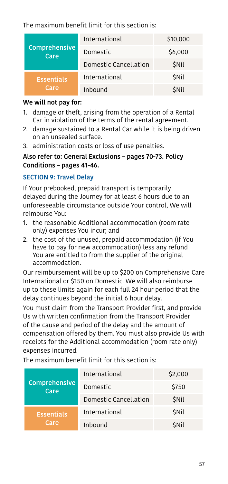The maximum benefit limit for this section is:

| Comprehensive<br>Care<br><b>Essentials</b><br>Care | International         | \$10,000    |
|----------------------------------------------------|-----------------------|-------------|
|                                                    | Domestic              | \$6,000     |
|                                                    | Domestic Cancellation | <b>SNIL</b> |
|                                                    | International         | <b>SNil</b> |
|                                                    | Inbound               | <b>SNil</b> |

#### We will not pay for:

- 1. damage or theft, arising from the operation of a Rental Car in violation of the terms of the rental agreement.
- 2. damage sustained to a Rental Car while it is being driven on an unsealed surface.
- 3. administration costs or loss of use penalties.

#### Also refer to: General Exclusions – pages [70-](#page-69-0)[73.](#page-72-0) Policy Conditions – pages [41](#page-40-0)[-46.](#page-45-0)

## <span id="page-56-0"></span>SECTION 9: Travel Delay

If Your prebooked, prepaid transport is temporarily delayed during the Journey for at least 6 hours due to an unforeseeable circumstance outside Your control, We will reimburse You:

- 1. the reasonable Additional accommodation (room rate only) expenses You incur; and
- 2. the cost of the unused, prepaid accommodation (if You have to pay for new accommodation) less any refund You are entitled to from the supplier of the original accommodation.

Our reimbursement will be up to \$200 on Comprehensive Care International or \$150 on Domestic. We will also reimburse up to these limits again for each full 24 hour period that the delay continues beyond the initial 6 hour delay.

You must claim from the Transport Provider first, and provide Us with written confirmation from the Transport Provider of the cause and period of the delay and the amount of compensation offered by them. You must also provide Us with receipts for the Additional accommodation (room rate only) expenses incurred.

The maximum benefit limit for this section is:

| Comprehensive<br>Care     | International         | \$2,000     |
|---------------------------|-----------------------|-------------|
|                           | Domestic              | \$750       |
|                           | Domestic Cancellation | <b>SNIL</b> |
| <b>Essentials</b><br>Care | International         | <b>SNIL</b> |
|                           | Inbound               | <b>SNIL</b> |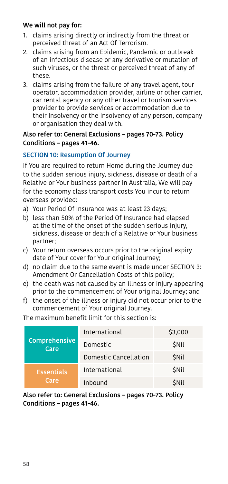#### We will not pay for:

- 1. claims arising directly or indirectly from the threat or perceived threat of an Act Of Terrorism.
- 2. claims arising from an Epidemic, Pandemic or outbreak of an infectious disease or any derivative or mutation of such viruses, or the threat or perceived threat of any of these.
- 3. claims arising from the failure of any travel agent, tour operator, accommodation provider, airline or other carrier, car rental agency or any other travel or tourism services provider to provide services or accommodation due to their Insolvency or the Insolvency of any person, company or organisation they deal with.

#### Also refer to: General Exclusions – pages [70-](#page-69-0)[73.](#page-72-0) Policy Conditions – pages [41](#page-40-0)[-46.](#page-45-0)

## <span id="page-57-0"></span>SECTION 10: Resumption Of Journey

If You are required to return Home during the Journey due to the sudden serious injury, sickness, disease or death of a Relative or Your business partner in Australia, We will pay for the economy class transport costs You incur to return overseas provided:

- a) Your Period Of Insurance was at least 23 days;
- b) less than 50% of the Period Of Insurance had elapsed at the time of the onset of the sudden serious injury, sickness, disease or death of a Relative or Your business partner;
- c) Your return overseas occurs prior to the original expiry date of Your cover for Your original Journey;
- d) no claim due to the same event is made under [SECTION 3:](#page-49-0)  [Amendment Or Cancellation Costs](#page-49-0) of this policy;
- e) the death was not caused by an illness or injury appearing prior to the commencement of Your original Journey; and
- f) the onset of the illness or injury did not occur prior to the commencement of Your original Journey.

The maximum benefit limit for this section is:

| Comprehensive<br>Care     | International         | \$3,000     |
|---------------------------|-----------------------|-------------|
|                           | Domestic              | <b>SNIL</b> |
|                           | Domestic Cancellation | <b>SNIL</b> |
| <b>Essentials</b><br>Care | International         | <b>SNIL</b> |
|                           | Inbound               | <b>SNil</b> |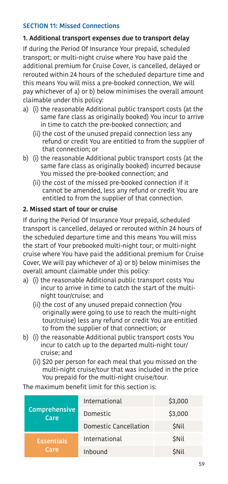## <span id="page-58-0"></span>SECTION 11: Missed Connections

#### 1. Additional transport expenses due to transport delay

If during the Period Of Insurance Your prepaid, scheduled transport; or multi-night cruise where You have paid the additional premium for Cruise Cover, is cancelled, delayed or rerouted within 24 hours of the scheduled departure time and this means You will miss a pre-booked connection, We will pay whichever of a) or b) below minimises the overall amount claimable under this policy:

- a) (i) the reasonable Additional public transport costs (at the same fare class as originally booked) You incur to arrive in time to catch the pre-booked connection; and
	- (ii) the cost of the unused prepaid connection less any refund or credit You are entitled to from the supplier of that connection; or
- b) (i) the reasonable Additional public transport costs (at the same fare class as originally booked) incurred because You missed the pre-booked connection; and
	- (ii) the cost of the missed pre-booked connection if it cannot be amended, less any refund or credit You are entitled to from the supplier of that connection.

#### 2. Missed start of tour or cruise

If during the Period Of Insurance Your prepaid, scheduled transport is cancelled, delayed or rerouted within 24 hours of the scheduled departure time and this means You will miss the start of Your prebooked multi-night tour; or multi-night cruise where You have paid the additional premium for Cruise Cover, We will pay whichever of a) or b) below minimises the overall amount claimable under this policy:

- a) (i) the reasonable Additional public transport costs You incur to arrive in time to catch the start of the multinight tour/cruise; and
	- (ii) the cost of any unused prepaid connection (You originally were going to use to reach the multi-night tour/cruise) less any refund or credit You are entitled to from the supplier of that connection; or
- b) (i) the reasonable Additional public transport costs You incur to catch up to the departed multi-night tour/ cruise; and
	- (ii) \$20 per person for each meal that you missed on the multi-night cruise/tour that was included in the price You prepaid for the multi-night cruise/tour.

The maximum benefit limit for this section is:

| Comprehensive<br>Care<br><b>Essentials</b><br>Care | International         | \$3,000     |
|----------------------------------------------------|-----------------------|-------------|
|                                                    | Domestic              | \$3,000     |
|                                                    | Domestic Cancellation | <b>SNIL</b> |
|                                                    | International         | <b>SNIL</b> |
|                                                    | Inbound               | <b>SNIL</b> |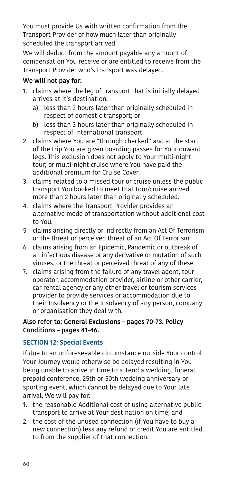You must provide Us with written confirmation from the Transport Provider of how much later than originally scheduled the transport arrived.

We will deduct from the amount payable any amount of compensation You receive or are entitled to receive from the Transport Provider who's transport was delayed.

## We will not pay for:

- 1. claims where the leg of transport that is initially delayed arrives at it's destination:
	- a) less than 2 hours later than originally scheduled in respect of domestic transport; or
	- b) less than 3 hours later than originally scheduled in respect of international transport.
- 2. claims where You are "through checked" and at the start of the trip You are given boarding passes for Your onward legs. This exclusion does not apply to Your multi-night tour; or multi-night cruise where You have paid the additional premium for Cruise Cover.
- 3. claims related to a missed tour or cruise unless the public transport You booked to meet that tour/cruise arrived more than 2 hours later than originally scheduled.
- 4. claims where the Transport Provider provides an alternative mode of transportation without additional cost to You.
- 5. claims arising directly or indirectly from an Act Of Terrorism or the threat or perceived threat of an Act Of Terrorism.
- 6. claims arising from an Epidemic, Pandemic or outbreak of an infectious disease or any derivative or mutation of such viruses, or the threat or perceived threat of any of these.
- 7. claims arising from the failure of any travel agent, tour operator, accommodation provider, airline or other carrier, car rental agency or any other travel or tourism services provider to provide services or accommodation due to their Insolvency or the Insolvency of any person, company or organisation they deal with.

#### Also refer to: General Exclusions – pages [70-](#page-69-0)[73.](#page-72-0) Policy Conditions – pages [41](#page-40-0)[-46.](#page-45-0)

## <span id="page-59-0"></span>SECTION 12: Special Events

If due to an unforeseeable circumstance outside Your control Your Journey would otherwise be delayed resulting in You being unable to arrive in time to attend a wedding, funeral, prepaid conference, 25th or 50th wedding anniversary or sporting event, which cannot be delayed due to Your late arrival, We will pay for:

- 1. the reasonable Additional cost of using alternative public transport to arrive at Your destination on time; and
- 2. the cost of the unused connection (if You have to buy a new connection) less any refund or credit You are entitled to from the supplier of that connection.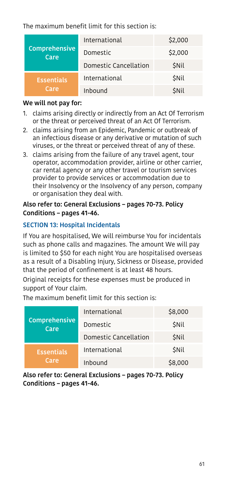The maximum benefit limit for this section is:

| Comprehensive<br>Care     | International         | \$2,000     |
|---------------------------|-----------------------|-------------|
|                           | Domestic              | \$2,000     |
|                           | Domestic Cancellation | <b>SNIL</b> |
| <b>Essentials</b><br>Care | International         | <b>SNil</b> |
|                           | Inhound               | <b>SNil</b> |

#### We will not pay for:

- 1. claims arising directly or indirectly from an Act Of Terrorism or the threat or perceived threat of an Act Of Terrorism.
- 2. claims arising from an Epidemic, Pandemic or outbreak of an infectious disease or any derivative or mutation of such viruses, or the threat or perceived threat of any of these.
- 3. claims arising from the failure of any travel agent, tour operator, accommodation provider, airline or other carrier, car rental agency or any other travel or tourism services provider to provide services or accommodation due to their Insolvency or the Insolvency of any person, company or organisation they deal with.

#### Also refer to: General Exclusions – pages [70-](#page-69-0)[73.](#page-72-0) Policy Conditions – pages [41](#page-40-0)[-46.](#page-45-0)

## SECTION 13: Hospital Incidentals

If You are hospitalised, We will reimburse You for incidentals such as phone calls and magazines. The amount We will pay is limited to \$50 for each night You are hospitalised overseas as a result of a Disabling Injury, Sickness or Disease, provided that the period of confinement is at least 48 hours.

Original receipts for these expenses must be produced in support of Your claim.

The maximum benefit limit for this section is:

| Comprehensive<br>Care     | International         | \$8,000     |
|---------------------------|-----------------------|-------------|
|                           | Domestic              | <b>SNil</b> |
|                           | Domestic Cancellation | <b>SNIL</b> |
| <b>Essentials</b><br>Care | International         | <b>SNIL</b> |
|                           | Inbound               | \$8,000     |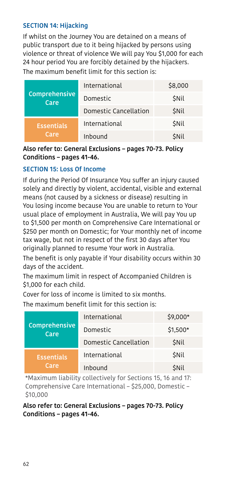#### SECTION 14: Hijacking

If whilst on the Journey You are detained on a means of public transport due to it being hijacked by persons using violence or threat of violence We will pay You \$1,000 for each 24 hour period You are forcibly detained by the hijackers. The maximum benefit limit for this section is:

| Comprehensive<br>Care     | International         | \$8,000     |
|---------------------------|-----------------------|-------------|
|                           | Domestic              | <b>SNIL</b> |
|                           | Domestic Cancellation | <b>SNIL</b> |
| <b>Essentials</b><br>Care | International         | <b>SNIL</b> |
|                           | Inbound               | <b>SNIL</b> |

#### Also refer to: General Exclusions – pages [70-](#page-69-0)[73.](#page-72-0) Policy Conditions – pages [41](#page-40-0)[-46.](#page-45-0)

#### <span id="page-61-0"></span>SECTION 15: Loss Of Income

If during the Period Of Insurance You suffer an injury caused solely and directly by violent, accidental, visible and external means (not caused by a sickness or disease) resulting in You losing income because You are unable to return to Your usual place of employment in Australia, We will pay You up to \$1,500 per month on Comprehensive Care International or \$250 per month on Domestic; for Your monthly net of income tax wage, but not in respect of the first 30 days after You originally planned to resume Your work in Australia.

The benefit is only payable if Your disability occurs within 30 days of the accident.

The maximum limit in respect of Accompanied Children is \$1,000 for each child.

Cover for loss of income is limited to six months.

The maximum benefit limit for this section is:

| Comprehensive<br>Care     | International         | $$9,000*$   |
|---------------------------|-----------------------|-------------|
|                           | Domestic              | $$1,500*$   |
|                           | Domestic Cancellation | <b>SNIL</b> |
| <b>Essentials</b><br>Care | International         | <b>SNIL</b> |
|                           | Inbound               | <b>SNIL</b> |

\*Maximum liability collectively for Sections 15, 16 and 17: Comprehensive Care International – \$25,000, Domestic – \$10,000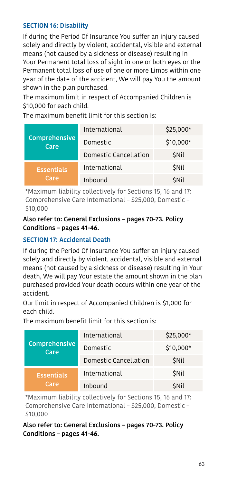## <span id="page-62-0"></span>SECTION 16: Disability

If during the Period Of Insurance You suffer an injury caused solely and directly by violent, accidental, visible and external means (not caused by a sickness or disease) resulting in Your Permanent total loss of sight in one or both eyes or the Permanent total loss of use of one or more Limbs within one year of the date of the accident, We will pay You the amount shown in the plan purchased.

The maximum limit in respect of Accompanied Children is \$10,000 for each child.

The maximum benefit limit for this section is:

| Comprehensive<br>Care     | International         | $$25,000*$  |
|---------------------------|-----------------------|-------------|
|                           | Domestic              | $$10,000*$  |
|                           | Domestic Cancellation | <b>SNIL</b> |
| <b>Essentials</b><br>Care | International         | <b>SNIL</b> |
|                           | Inbound               | <b>SNIL</b> |

\*Maximum liability collectively for Sections 15, 16 and 17: Comprehensive Care International – \$25,000, Domestic – \$10,000

#### Also refer to: General Exclusions – pages [70-](#page-69-0)[73.](#page-72-0) Policy Conditions – pages [41](#page-40-0)[-46.](#page-45-0)

## <span id="page-62-1"></span>SECTION 17: Accidental Death

If during the Period Of Insurance You suffer an injury caused solely and directly by violent, accidental, visible and external means (not caused by a sickness or disease) resulting in Your death, We will pay Your estate the amount shown in the plan purchased provided Your death occurs within one year of the accident.

Our limit in respect of Accompanied Children is \$1,000 for each child.

The maximum benefit limit for this section is:

| Comprehensive<br>Care     | International         | $$25,000*$  |
|---------------------------|-----------------------|-------------|
|                           | Domestic              | $$10,000*$  |
|                           | Domestic Cancellation | <b>SNIL</b> |
| <b>Essentials</b><br>Care | International         | <b>SNil</b> |
|                           | Inbound               | <b>SNII</b> |

\*Maximum liability collectively for Sections 15, 16 and 17: Comprehensive Care International – \$25,000, Domestic – \$10,000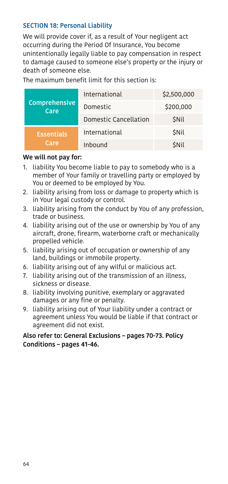#### SECTION 18: Personal Liability

We will provide cover if, as a result of Your negligent act occurring during the Period Of Insurance, You become unintentionally legally liable to pay compensation in respect to damage caused to someone else's property or the injury or death of someone else.

The maximum benefit limit for this section is:

| Comprehensive<br>Care     | International         | \$2,500,000 |
|---------------------------|-----------------------|-------------|
|                           | Domestic              | \$200,000   |
|                           | Domestic Cancellation | <b>SNil</b> |
| <b>Essentials</b><br>Care | International         | <b>SNil</b> |
|                           | Inbound               | <b>SNil</b> |

#### We will not pay for:

- 1. liability You become liable to pay to somebody who is a member of Your family or travelling party or employed by You or deemed to be employed by You.
- 2. liability arising from loss or damage to property which is in Your legal custody or control.
- 3. liability arising from the conduct by You of any profession, trade or business.
- 4. liability arising out of the use or ownership by You of any aircraft, drone, firearm, waterborne craft or mechanically propelled vehicle.
- 5. liability arising out of occupation or ownership of any land, buildings or immobile property.
- 6. liability arising out of any wilful or malicious act.
- 7. liability arising out of the transmission of an illness, sickness or disease.
- 8. liability involving punitive, exemplary or aggravated damages or any fine or penalty.
- 9. liability arising out of Your liability under a contract or agreement unless You would be liable if that contract or agreement did not exist.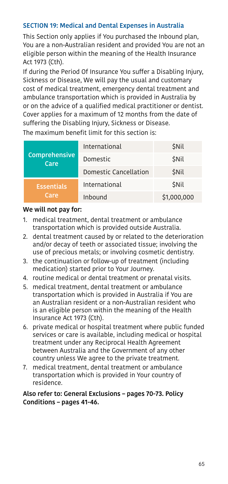## <span id="page-64-0"></span>SECTION 19: Medical and Dental Expenses in Australia

This Section only applies if You purchased the Inbound plan, You are a non-Australian resident and provided You are not an eligible person within the meaning of the Health Insurance Act 1973 (Cth).

If during the Period Of Insurance You suffer a Disabling Injury, Sickness or Disease, We will pay the usual and customary cost of medical treatment, emergency dental treatment and ambulance transportation which is provided in Australia by or on the advice of a qualified medical practitioner or dentist. Cover applies for a maximum of 12 months from the date of suffering the Disabling Injury, Sickness or Disease.

The maximum benefit limit for this section is:

| Comprehensive<br>Care     | International         | <b>SNIL</b> |
|---------------------------|-----------------------|-------------|
|                           | Domestic              | <b>SNIL</b> |
| <b>Essentials</b><br>Care | Domestic Cancellation | <b>SNIL</b> |
|                           | International         | <b>SNIL</b> |
|                           | Inbound               | \$1,000,000 |

#### We will not pay for:

- 1. medical treatment, dental treatment or ambulance transportation which is provided outside Australia.
- 2. dental treatment caused by or related to the deterioration and/or decay of teeth or associated tissue; involving the use of precious metals; or involving cosmetic dentistry.
- 3. the continuation or follow-up of treatment (including medication) started prior to Your Journey.
- 4. routine medical or dental treatment or prenatal visits.
- 5. medical treatment, dental treatment or ambulance transportation which is provided in Australia if You are an Australian resident or a non-Australian resident who is an eligible person within the meaning of the Health Insurance Act 1973 (Cth).
- 6. private medical or hospital treatment where public funded services or care is available, including medical or hospital treatment under any Reciprocal Health Agreement between Australia and the Government of any other country unless We agree to the private treatment.
- 7. medical treatment, dental treatment or ambulance transportation which is provided in Your country of residence.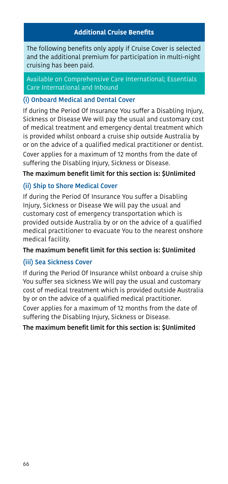#### **Additional Cruise Benefits**

The following benefits only apply if Cruise Cover is selected and the additional premium for participation in multi-night cruising has been paid.

Available on Comprehensive Care International; Essentials Care International and Inbound

#### <span id="page-65-0"></span>(i) Onboard Medical and Dental Cover

If during the Period Of Insurance You suffer a Disabling Injury, Sickness or Disease We will pay the usual and customary cost of medical treatment and emergency dental treatment which is provided whilst onboard a cruise ship outside Australia by or on the advice of a qualified medical practitioner or dentist. Cover applies for a maximum of 12 months from the date of suffering the Disabling Injury, Sickness or Disease.

#### The maximum benefit limit for this section is: \$Unlimited

## (ii) Ship to Shore Medical Cover

If during the Period Of Insurance You suffer a Disabling Injury, Sickness or Disease We will pay the usual and customary cost of emergency transportation which is provided outside Australia by or on the advice of a qualified medical practitioner to evacuate You to the nearest onshore medical facility.

#### The maximum benefit limit for this section is: \$Unlimited

## (iii) Sea Sickness Cover

If during the Period Of Insurance whilst onboard a cruise ship You suffer sea sickness We will pay the usual and customary cost of medical treatment which is provided outside Australia by or on the advice of a qualified medical practitioner.

Cover applies for a maximum of 12 months from the date of suffering the Disabling Injury, Sickness or Disease.

The maximum benefit limit for this section is: \$Unlimited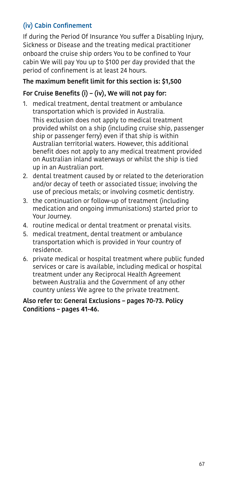## (iv) Cabin Confinement

If during the Period Of Insurance You suffer a Disabling Injury, Sickness or Disease and the treating medical practitioner onboard the cruise ship orders You to be confined to Your cabin We will pay You up to \$100 per day provided that the period of confinement is at least 24 hours.

## The maximum benefit limit for this section is: \$1,500

## For Cruise Benefits (i) – (iv), We will not pay for:

- 1. medical treatment, dental treatment or ambulance transportation which is provided in Australia. This exclusion does not apply to medical treatment provided whilst on a ship (including cruise ship, passenger ship or passenger ferry) even if that ship is within Australian territorial waters. However, this additional benefit does not apply to any medical treatment provided on Australian inland waterways or whilst the ship is tied up in an Australian port.
- 2. dental treatment caused by or related to the deterioration and/or decay of teeth or associated tissue; involving the use of precious metals; or involving cosmetic dentistry.
- 3. the continuation or follow-up of treatment (including medication and ongoing immunisations) started prior to Your Journey.
- 4. routine medical or dental treatment or prenatal visits.
- 5. medical treatment, dental treatment or ambulance transportation which is provided in Your country of residence.
- 6. private medical or hospital treatment where public funded services or care is available, including medical or hospital treatment under any Reciprocal Health Agreement between Australia and the Government of any other country unless We agree to the private treatment.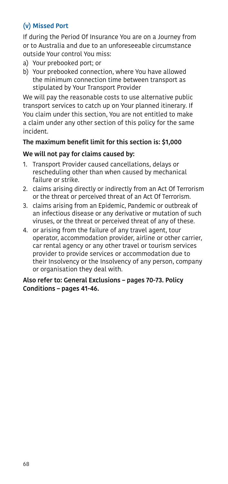## (v) Missed Port

If during the Period Of Insurance You are on a Journey from or to Australia and due to an unforeseeable circumstance outside Your control You miss:

- a) Your prebooked port; or
- b) Your prebooked connection, where You have allowed the minimum connection time between transport as stipulated by Your Transport Provider

We will pay the reasonable costs to use alternative public transport services to catch up on Your planned itinerary. If You claim under this section, You are not entitled to make a claim under any other section of this policy for the same incident.

#### The maximum benefit limit for this section is: \$1,000

#### We will not pay for claims caused by:

- 1. Transport Provider caused cancellations, delays or rescheduling other than when caused by mechanical failure or strike.
- 2. claims arising directly or indirectly from an Act Of Terrorism or the threat or perceived threat of an Act Of Terrorism.
- 3. claims arising from an Epidemic, Pandemic or outbreak of an infectious disease or any derivative or mutation of such viruses, or the threat or perceived threat of any of these.
- 4. or arising from the failure of any travel agent, tour operator, accommodation provider, airline or other carrier, car rental agency or any other travel or tourism services provider to provide services or accommodation due to their Insolvency or the Insolvency of any person, company or organisation they deal with.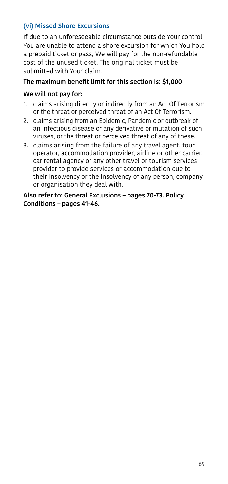## (vi) Missed Shore Excursions

If due to an unforeseeable circumstance outside Your control You are unable to attend a shore excursion for which You hold a prepaid ticket or pass, We will pay for the non-refundable cost of the unused ticket. The original ticket must be submitted with Your claim.

#### The maximum benefit limit for this section is: \$1,000

#### We will not pay for:

- 1. claims arising directly or indirectly from an Act Of Terrorism or the threat or perceived threat of an Act Of Terrorism.
- <span id="page-68-0"></span>2. claims arising from an Epidemic, Pandemic or outbreak of an infectious disease or any derivative or mutation of such viruses, or the threat or perceived threat of any of these.
- 3. claims arising from the failure of any travel agent, tour operator, accommodation provider, airline or other carrier, car rental agency or any other travel or tourism services provider to provide services or accommodation due to their Insolvency or the Insolvency of any person, company or organisation they deal with.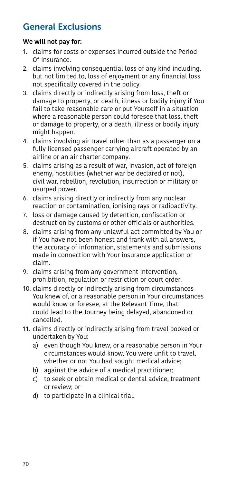# <span id="page-69-0"></span>General Exclusions

## We will not pay for:

- 1. claims for costs or expenses incurred outside the Period Of Insurance.
- 2. claims involving consequential loss of any kind including, but not limited to, loss of enjoyment or any financial loss not specifically covered in the policy.
- 3. claims directly or indirectly arising from loss, theft or damage to property, or death, illness or bodily injury if You fail to take reasonable care or put Yourself in a situation where a reasonable person could foresee that loss, theft or damage to property, or a death, illness or bodily injury might happen.
- 4. claims involving air travel other than as a passenger on a fully licensed passenger carrying aircraft operated by an airline or an air charter company.
- 5. claims arising as a result of war, invasion, act of foreign enemy, hostilities (whether war be declared or not), civil war, rebellion, revolution, insurrection or military or usurped power.
- 6. claims arising directly or indirectly from any nuclear reaction or contamination, ionising rays or radioactivity.
- 7. loss or damage caused by detention, confiscation or destruction by customs or other officials or authorities.
- 8. claims arising from any unlawful act committed by You or if You have not been honest and frank with all answers, the accuracy of information, statements and submissions made in connection with Your insurance application or claim.
- 9. claims arising from any government intervention, prohibition, regulation or restriction or court order.
- 10. claims directly or indirectly arising from circumstances You knew of, or a reasonable person in Your circumstances would know or foresee, at the Relevant Time, that could lead to the Journey being delayed, abandoned or cancelled.
- 11. claims directly or indirectly arising from travel booked or undertaken by You:
	- a) even though You knew, or a reasonable person in Your circumstances would know, You were unfit to travel, whether or not You had sought medical advice;
	- b) against the advice of a medical practitioner;
	- c) to seek or obtain medical or dental advice, treatment or review; or
	- d) to participate in a clinical trial.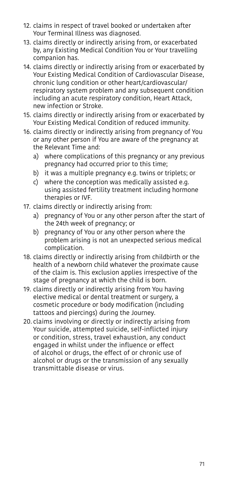- 12. claims in respect of travel booked or undertaken after Your Terminal Illness was diagnosed.
- 13. claims directly or indirectly arising from, or exacerbated by, any Existing Medical Condition You or Your travelling companion has.
- 14. claims directly or indirectly arising from or exacerbated by Your Existing Medical Condition of Cardiovascular Disease, chronic lung condition or other heart/cardiovascular/ respiratory system problem and any subsequent condition including an acute respiratory condition, Heart Attack, new infection or Stroke.
- 15. claims directly or indirectly arising from or exacerbated by Your Existing Medical Condition of reduced immunity.
- 16. claims directly or indirectly arising from pregnancy of You or any other person if You are aware of the pregnancy at the Relevant Time and:
	- a) where complications of this pregnancy or any previous pregnancy had occurred prior to this time;
	- b) it was a multiple pregnancy e.g. twins or triplets; or
	- c) where the conception was medically assisted e.g. using assisted fertility treatment including hormone therapies or IVF.
- 17. claims directly or indirectly arising from:
	- a) pregnancy of You or any other person after the start of the 24th week of pregnancy; or
	- b) pregnancy of You or any other person where the problem arising is not an unexpected serious medical complication.
- 18. claims directly or indirectly arising from childbirth or the health of a newborn child whatever the proximate cause of the claim is. This exclusion applies irrespective of the stage of pregnancy at which the child is born.
- 19. claims directly or indirectly arising from You having elective medical or dental treatment or surgery, a cosmetic procedure or body modification (including tattoos and piercings) during the Journey.
- 20. claims involving or directly or indirectly arising from Your suicide, attempted suicide, self-inflicted injury or condition, stress, travel exhaustion, any conduct engaged in whilst under the influence or effect of alcohol or drugs, the effect of or chronic use of alcohol or drugs or the transmission of any sexually transmittable disease or virus.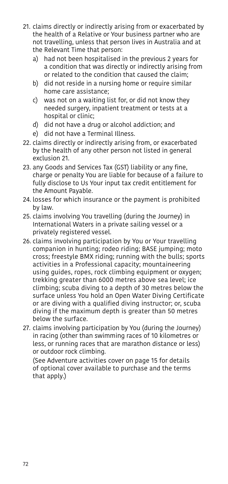- 21. claims directly or indirectly arising from or exacerbated by the health of a Relative or Your business partner who are not travelling, unless that person lives in Australia and at the Relevant Time that person:
	- a) had not been hospitalised in the previous 2 years for a condition that was directly or indirectly arising from or related to the condition that caused the claim;
	- b) did not reside in a nursing home or require similar home care assistance;
	- c) was not on a waiting list for, or did not know they needed surgery, inpatient treatment or tests at a hospital or clinic;
	- d) did not have a drug or alcohol addiction; and
	- e) did not have a Terminal Illness.
- 22. claims directly or indirectly arising from, or exacerbated by the health of any other person not listed in general exclusion 21.
- 23. any Goods and Services Tax (GST) liability or any fine, charge or penalty You are liable for because of a failure to fully disclose to Us Your input tax credit entitlement for the Amount Payable.
- 24. losses for which insurance or the payment is prohibited by law.
- 25. claims involving You travelling (during the Journey) in International Waters in a private sailing vessel or a privately registered vessel.
- 26. claims involving participation by You or Your travelling companion in hunting; rodeo riding; BASE jumping; moto cross; freestyle BMX riding; running with the bulls; sports activities in a Professional capacity; mountaineering using guides, ropes, rock climbing equipment or oxygen; trekking greater than 6000 metres above sea level; ice climbing; scuba diving to a depth of 30 metres below the surface unless You hold an Open Water Diving Certificate or are diving with a qualified diving instructor; or, scuba diving if the maximum depth is greater than 50 metres below the surface.
- 27. claims involving participation by You (during the Journey) in racing (other than swimming races of 10 kilometres or less, or running races that are marathon distance or less) or outdoor rock climbing.

(See [Adventure activities cover on page 15](#page-14-1) for details of optional cover available to purchase and the terms that apply.)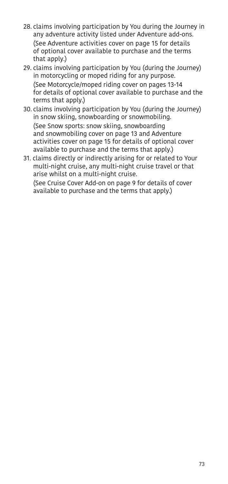- 28. claims involving participation by You during the Journey in any adventure activity listed under Adventure add-ons. (See [Adventure activities cover on page 15](#page-14-0) for details of optional cover available to purchase and the terms that apply.)
- 29. claims involving participation by You (during the Journey) in motorcycling or moped riding for any purpose. (See [Motorcycle/moped riding cover on pages 13](#page-12-0)[-14](#page-13-0)  for details of optional cover available to purchase and the terms that apply.)
- 30. claims involving participation by You (during the Journey) in snow skiing, snowboarding or snowmobiling. (See [Snow sports: snow skiing, snowboarding](#page-12-1)  and [snowmobiling cover on page 13](#page-12-1) and [Adventure](#page-14-0)  [activities cover on page 15](#page-14-0) for details of optional cover available to purchase and the terms that apply.)
- 31. claims directly or indirectly arising for or related to Your multi-night cruise, any multi-night cruise travel or that arise whilst on a multi-night cruise.

(See [Cruise Cover Add-on on page 9](#page-8-0) for details of cover available to purchase and the terms that apply.)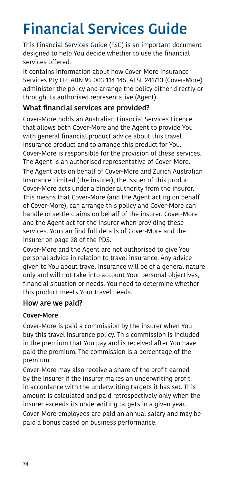# Financial Services Guide

This Financial Services Guide (FSG) is an important document designed to help You decide whether to use the financial services offered.

It contains information about how Cover-More Insurance Services Pty Ltd ABN 95 003 114 145, AFSL 241713 (Cover-More) administer the policy and arrange the policy either directly or through its authorised representative (Agent).

# What financial services are provided?

Cover-More holds an Australian Financial Services Licence that allows both Cover-More and the Agent to provide You with general financial product advice about this travel insurance product and to arrange this product for You. Cover-More is responsible for the provision of these services. The Agent is an authorised representative of Cover-More. The Agent acts on behalf of Cover-More and Zurich Australian Insurance Limited (the insurer), the issuer of this product. Cover-More acts under a binder authority from the insurer. This means that Cover-More (and the Agent acting on behalf of Cover-More), can arrange this policy and Cover-More can handle or settle claims on behalf of the insurer. Cover-More and the Agent act for the insurer when providing these services. You can find full details of Cover-More and the insurer on page [28](#page-27-0) of the PDS.

Cover-More and the Agent are not authorised to give You personal advice in relation to travel insurance. Any advice given to You about travel insurance will be of a general nature only and will not take into account Your personal objectives, financial situation or needs. You need to determine whether this product meets Your travel needs.

# How are we paid?

#### Cover-More

Cover-More is paid a commission by the insurer when You buy this travel insurance policy. This commission is included in the premium that You pay and is received after You have paid the premium. The commission is a percentage of the premium.

Cover-More may also receive a share of the profit earned by the insurer if the insurer makes an underwriting profit in accordance with the underwriting targets it has set. This amount is calculated and paid retrospectively only when the insurer exceeds its underwriting targets in a given year.

Cover-More employees are paid an annual salary and may be paid a bonus based on business performance.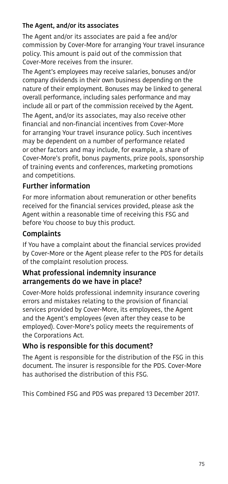#### The Agent, and/or its associates

The Agent and/or its associates are paid a fee and/or commission by Cover-More for arranging Your travel insurance policy. This amount is paid out of the commission that Cover-More receives from the insurer.

The Agent's employees may receive salaries, bonuses and/or company dividends in their own business depending on the nature of their employment. Bonuses may be linked to general overall performance, including sales performance and may include all or part of the commission received by the Agent. The Agent, and/or its associates, may also receive other

financial and non-financial incentives from Cover-More for arranging Your travel insurance policy. Such incentives may be dependent on a number of performance related or other factors and may include, for example, a share of Cover-More's profit, bonus payments, prize pools, sponsorship of training events and conferences, marketing promotions and competitions.

#### Further information

For more information about remuneration or other benefits received for the financial services provided, please ask the Agent within a reasonable time of receiving this FSG and before You choose to buy this product.

# Complaints

If You have a complaint about the financial services provided by Cover-More or the Agent please refer to the PDS for details of the complaint resolution process.

#### What professional indemnity insurance arrangements do we have in place?

Cover-More holds professional indemnity insurance covering errors and mistakes relating to the provision of financial services provided by Cover-More, its employees, the Agent and the Agent's employees (even after they cease to be employed). Cover-More's policy meets the requirements of the Corporations Act.

# Who is responsible for this document?

The Agent is responsible for the distribution of the FSG in this document. The insurer is responsible for the PDS. Cover-More has authorised the distribution of this FSG.

This Combined FSG and PDS was prepared 13 December 2017.